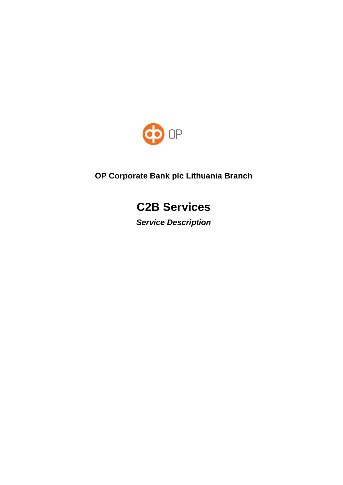

# **OP Corporate Bank plc Lithuania Branch**

# **C2B Services**

*Service Description*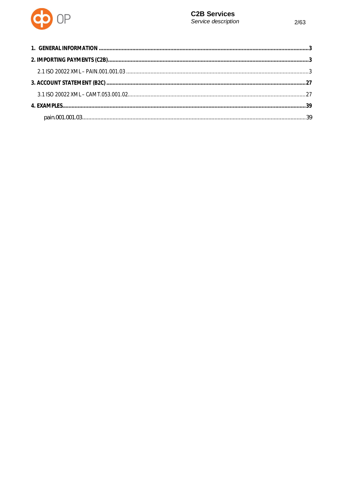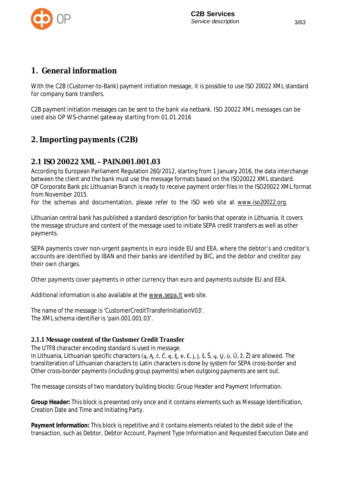

## **1.General information**

With the C2B (Customer-to-Bank) payment initiation message, it is possible to use ISO 20022 XML standard for company bank transfers.

C2B payment initiation messages can be sent to the bank via netbank. ISO 20022 XML messages can be used also OP WS-channel gateway starting from 01.01.2016

# **2. Importing payments (C2B)**

## **2.1 ISO 20022 XMLȂPAIN.001.001.03**

According to European Parliament Regulation 260/2012, starting from 1 January 2016, the data interchange between the client and the bank must use the message formats based on the ISO20022 XML standard. OP Corporate Bank plc Lithuanian Branch is ready to receive payment order files in the ISO20022 XML format from November 2015.

For the schemas and documentation, please refer to the ISO web site at www.iso20022.org.

Lithuanian central bank has published a standard description for banks that operate in Lithuania. It covers the message structure and content of the message used to initiate SEPA credit transfers as well as other payments.

SEPA payments cover non-urgent payments in euro inside EU and EEA, where the debtor's and creditor's accounts are identified by IBAN and their banks are identified by BIC, and the debtor and creditor pay their own charges.

Other payments cover payments in other currency than euro and payments outside EU and EEA.

Additional information is also available at the www.sepa.lt web site.

The name of the message is 'CustomerCreditTransferInitiationV03'. The XML schema identifier is 'pain.001.001.03'.

### *2.1.1 Message content of the Customer Credit Transfer*

The UTF8 character encoding standard is used in message.

In Lithuania, Lithuanian specific characters (a, A, č, Č, e, E, ė, Ė, j, J, š, Š, ų, Ų, ū, Ū, ž, Ž) are allowed. The transliteration of Lithuanian characters to Latin characters is done by system for SEPA cross-border and Other cross-border payments (including group payments) when outgoing payments are sent out.

The message consists of two mandatory building blocks: Group Header and Payment Information.

**Group Header:** This block is presented only once and it contains elements such as Message Identification, Creation Date and Time and Initiating Party.

**Payment Information:** This block is repetitive and it contains elements related to the debit side of the transaction, such as Debtor, Debtor Account, Payment Type Information and Requested Execution Date and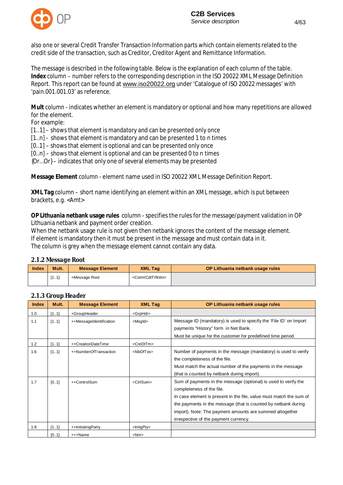

also one or several Credit Transfer Transaction Information parts which contain elements related to the credit side of the transaction, such as Creditor, Creditor Agent and Remittance Information.

The message is described in the following table. Below is the explanation of each column of the table. **Index** column – number refers to the corresponding description in the ISO 20022 XML Message Definition Report. This report can be found at www.iso20022.org under 'Catalogue of ISO 20022 messages' with 'pain.001.001.03' as reference.

**Mult** column - indicates whether an element is mandatory or optional and how many repetitions are allowed for the element.

For example:

[1..1] – shows that element is mandatory and can be presented only once

[1..n] - shows that element is mandatory and can be presented 1 to n times

[0..1] – shows that element is optional and can be presented only once

[0..n] – shows that element is optional and can be presented 0 to n times

{Or…Or} – indicates that only one of several elements may be presented

**Message Element** column - element name used in ISO 20022 XML Message Definition Report.

**XML Tag** column – short name identifying an element within an XML message, which is put between brackets, e.g. <Amt>

**OP Lithuania netbank usage rules** column - specifies the rules for the message/payment validation in OP Lithuania netbank and payment order creation.

When the netbank usage rule is not given then netbank ignores the content of the message element. If element is mandatory then it must be present in the message and must contain data in it. The column is grey when the message element cannot contain any data.

#### *2.1.2 Message Root*

| Index | Mult. | <b>Message Element</b> | <b>XML Tag</b>                        | OP Lithuania netbank usage rules |
|-------|-------|------------------------|---------------------------------------|----------------------------------|
|       | [11]  | +Message Root          | <cstmrcdttrflnitn></cstmrcdttrflnitn> |                                  |

| <b>Index</b> | Mult. | <b>Message Element</b>  | <b>XML Tag</b>      | OP Lithuania netbank usage rules                                                                                                                                                                                                                                                                                                           |
|--------------|-------|-------------------------|---------------------|--------------------------------------------------------------------------------------------------------------------------------------------------------------------------------------------------------------------------------------------------------------------------------------------------------------------------------------------|
| 1.0          | [11]  | +GroupHeader            | <grphdr></grphdr>   |                                                                                                                                                                                                                                                                                                                                            |
| 1.1          | [11]  | ++MessageIdentification | <msgld></msgld>     | Message ID (mandatory) is used to specify the 'File ID' on Import<br>payments "History" form in Net Bank.<br>Must be unique for the customer for predefined time period.                                                                                                                                                                   |
| 1.2          | [11]  | ++CreationDateTime      | <credttm></credttm> |                                                                                                                                                                                                                                                                                                                                            |
| 1.6          | [11]  | ++NumberOfTransaction   | <nboftxs></nboftxs> | Number of payments in the message (mandatory) is used to verify<br>the completeness of the file.<br>Must match the actual number of the payments in the message<br>(that is counted by netbank during import).                                                                                                                             |
| 1.7          | [0.1] | ++ControlSum            | <ctrlsum></ctrlsum> | Sum of payments in the message (optional) is used to verify the<br>completeness of the file.<br>In case element is present in the file, value must match the sum of<br>the payments in the message (that is counted by netbank during<br>import). Note: The payment amounts are summed altogether<br>irrespective of the payment currency. |
| 1.8          | [11]  | ++InitiatingParty       | $<$ InitgPty $>$    |                                                                                                                                                                                                                                                                                                                                            |
|              | [0.1] | +++Name                 | $<$ Nm $>$          |                                                                                                                                                                                                                                                                                                                                            |

#### *2.1.3 Group Header*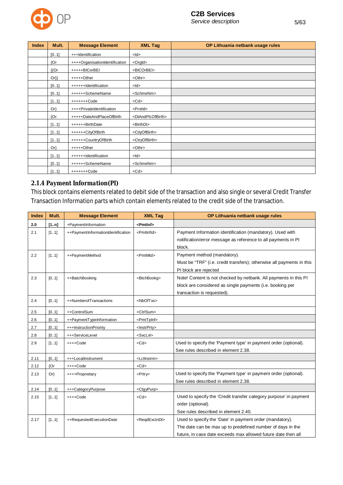

| <b>Index</b> | Mult.       | <b>Message Element</b>         | <b>XML Tag</b>                      | OP Lithuania netbank usage rules |
|--------------|-------------|--------------------------------|-------------------------------------|----------------------------------|
|              | [01]        | +++Identification              | $<$ ld $>$                          |                                  |
|              | ${Or}$      | ++++OrganisationIdentification | <orgld></orgld>                     |                                  |
|              | ${^{\{Or}}$ | +++++BICorBEI                  | <bicorbei></bicorbei>               |                                  |
|              | $Or\}$      | $++++$ Other                   | <othr></othr>                       |                                  |
|              | [01]        | ++++++Identification           | $<$ ld $>$                          |                                  |
|              | [0.1]       | ++++++SchemeName               | <schmenm></schmenm>                 |                                  |
|              | [11]        | +++++++Code                    | $<$ Cd $>$                          |                                  |
|              | $Or\}$      | ++++PrivateIdentification      | <prvtid></prvtid>                   |                                  |
|              | ${Or}$      | +++++DateAndPlaceOfBirth       | <dtandplcofbirth></dtandplcofbirth> |                                  |
|              | [11]        | ++++++BirthDate                | <birthdt></birthdt>                 |                                  |
|              | [11]        | ++++++CityOfBirth              | <cityofbirth></cityofbirth>         |                                  |
|              | [11]        | ++++++CountryOfBirth           | <ctryofbirth></ctryofbirth>         |                                  |
|              | $Or\}$      | $++++$ Other                   | <othr></othr>                       |                                  |
|              | [11]        | ++++++Identification           | $<$ ld $>$                          |                                  |
|              | [0.1]       | ++++++SchemeName               | <schmenm></schmenm>                 |                                  |
|              | [11]        | +++++++Code                    | $<$ Cd $>$                          |                                  |

## *2.1.4 Payment Information(PI)*

This block contains elements related to debit side of the transaction and also single or several Credit Transfer Transaction Information parts which contain elements related to the credit side of the transaction.

| <b>Index</b> | Mult.  | <b>Message Element</b>             | <b>XML Tag</b>              | OP Lithuania netbank usage rules                                      |
|--------------|--------|------------------------------------|-----------------------------|-----------------------------------------------------------------------|
| 2.0          | [1n]   | +PaymentInformation                | <pmtlnf></pmtlnf>           |                                                                       |
| 2.1          | [11]   | ++PaymentInformationIdentification | <pmtlnfld></pmtlnfld>       | Payment Information identification (mandatory). Used with             |
|              |        |                                    |                             | notification/error message as reference to all payments in PI         |
|              |        |                                    |                             | block.                                                                |
| 2.2          | [11]   | ++PaymentMethod                    | <pmtmtd></pmtmtd>           | Payment method (mandatory).                                           |
|              |        |                                    |                             | Must be "TRF" (i.e. credit transfers); otherwise all payments in this |
|              |        |                                    |                             | PI block are rejected                                                 |
| 2.3          | [01]   | ++BatchBooking                     | <btchbookg></btchbookg>     | Note! Content is not checked by netbank. All payments in this PI      |
|              |        |                                    |                             | block are considered as single payments (i.e. booking per             |
|              |        |                                    |                             | transaction is requested).                                            |
| 2.4          | [01]   | ++NumberofTransactions             | <nboftxs></nboftxs>         |                                                                       |
| 2.5          | [01]   | ++ControlSum                       | <ctrlsum></ctrlsum>         |                                                                       |
| 2.6          | [01]   | ++PaymentTypeInformation           | <pmttpinf></pmttpinf>       |                                                                       |
| 2.7          | [0.1]  | +++InstructionPriority             | <lnstrprty></lnstrprty>     |                                                                       |
| 2.8          | [0.1]  | +++ServiceLevel                    | <svclvl></svclvl>           |                                                                       |
| 2.9          | [11]   | ++++Code                           | $<$ Cd $>$                  | Used to specify the 'Payment type' in payment order (optional).       |
|              |        |                                    |                             | See rules described in element 2.38.                                  |
| 2.11         | [0.1]  | +++LocalInstrument                 | <lcllnstrm></lcllnstrm>     |                                                                       |
| 2.12         | {Or    | ++++Code                           | $<$ Cd $>$                  |                                                                       |
| 2.13         | $Or\}$ | ++++Proprietary                    | <prtry></prtry>             | Used to specify the 'Payment type' in payment order (optional).       |
|              |        |                                    |                             | See rules described in element 2.38.                                  |
| 2.14         | [0.1]  | +++CategoryPurpose                 | <ctgypurp></ctgypurp>       |                                                                       |
| 2.15         | [11]   | ++++Code                           | $<$ Cd $>$                  | Used to specify the 'Credit transfer category purpose' in payment     |
|              |        |                                    |                             | order (optional).                                                     |
|              |        |                                    |                             | See rules described in element 2.40.                                  |
| 2.17         | [11]   | ++RequestedExecutionDate           | <reqdexctndt></reqdexctndt> | Used to specify the 'Date' in payment order (mandatory).              |
|              |        |                                    |                             | The date can be max up to predefined number of days in the            |
|              |        |                                    |                             | future, in case date exceeds max allowed future date then all         |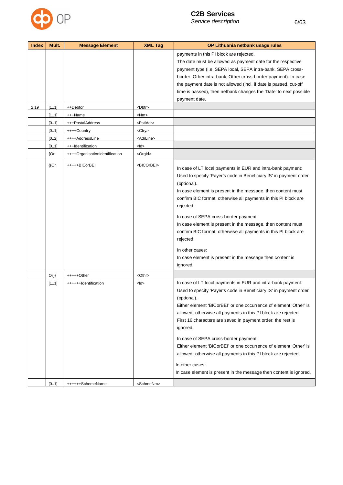

| <b>Index</b> | Mult.     | <b>Message Element</b>         | <b>XML Tag</b>        | OP Lithuania netbank usage rules                                                                                                                                                                                                                                                                                                                                                                                                                                                                                                                                                                                                           |
|--------------|-----------|--------------------------------|-----------------------|--------------------------------------------------------------------------------------------------------------------------------------------------------------------------------------------------------------------------------------------------------------------------------------------------------------------------------------------------------------------------------------------------------------------------------------------------------------------------------------------------------------------------------------------------------------------------------------------------------------------------------------------|
|              |           |                                |                       | payments in this PI block are rejected.                                                                                                                                                                                                                                                                                                                                                                                                                                                                                                                                                                                                    |
|              |           |                                |                       | The date must be allowed as payment date for the respective                                                                                                                                                                                                                                                                                                                                                                                                                                                                                                                                                                                |
|              |           |                                |                       | payment type (i.e. SEPA local, SEPA intra-bank, SEPA cross-                                                                                                                                                                                                                                                                                                                                                                                                                                                                                                                                                                                |
|              |           |                                |                       | border, Other intra-bank, Other cross-border payment). In case                                                                                                                                                                                                                                                                                                                                                                                                                                                                                                                                                                             |
|              |           |                                |                       | the payment date is not allowed (incl. if date is passed, cut-off                                                                                                                                                                                                                                                                                                                                                                                                                                                                                                                                                                          |
|              |           |                                |                       | time is passed), then netbank changes the 'Date' to next possible                                                                                                                                                                                                                                                                                                                                                                                                                                                                                                                                                                          |
|              |           |                                |                       | payment date.                                                                                                                                                                                                                                                                                                                                                                                                                                                                                                                                                                                                                              |
| 2.19         | [11]      | ++Debtor                       | <dbtr></dbtr>         |                                                                                                                                                                                                                                                                                                                                                                                                                                                                                                                                                                                                                                            |
|              | [11]      | +++Name                        | <nm></nm>             |                                                                                                                                                                                                                                                                                                                                                                                                                                                                                                                                                                                                                                            |
|              | [01]      | +++PostalAddress               | <pstladr></pstladr>   |                                                                                                                                                                                                                                                                                                                                                                                                                                                                                                                                                                                                                                            |
|              | [01]      | ++++Country                    | <ctry></ctry>         |                                                                                                                                                                                                                                                                                                                                                                                                                                                                                                                                                                                                                                            |
|              | [0.2]     | ++++AddressLine                | <adrline></adrline>   |                                                                                                                                                                                                                                                                                                                                                                                                                                                                                                                                                                                                                                            |
|              | [0.1]     | +++Identification              | <ld></ld>             |                                                                                                                                                                                                                                                                                                                                                                                                                                                                                                                                                                                                                                            |
|              | ${Or}$    | ++++OrganisationIdentification | <orgld></orgld>       |                                                                                                                                                                                                                                                                                                                                                                                                                                                                                                                                                                                                                                            |
|              | ${[}$ (Or | +++++BICorBEI                  | <bicorbei></bicorbei> | In case of LT local payments in EUR and intra-bank payment:<br>Used to specify 'Payer's code in Beneficiary IS' in payment order<br>(optional).<br>In case element is present in the message, then content must<br>confirm BIC format; otherwise all payments in this PI block are<br>rejected.<br>In case of SEPA cross-border payment:<br>In case element is present in the message, then content must<br>confirm BIC format; otherwise all payments in this PI block are<br>rejected.<br>In other cases:                                                                                                                                |
|              |           |                                |                       | In case element is present in the message then content is<br>ignored.                                                                                                                                                                                                                                                                                                                                                                                                                                                                                                                                                                      |
|              | $Or\}$    | +++++Other                     | <othr></othr>         |                                                                                                                                                                                                                                                                                                                                                                                                                                                                                                                                                                                                                                            |
|              | [11]      | ++++++Identification           | <ld></ld>             | In case of LT local payments in EUR and intra-bank payment:<br>Used to specify 'Payer's code in Beneficiary IS' in payment order<br>(optional).<br>Either element 'BICorBEI' or one occurrence of element 'Other' is<br>allowed; otherwise all payments in this PI block are rejected.<br>First 16 characters are saved in payment order; the rest is<br>ignored.<br>In case of SEPA cross-border payment:<br>Either element 'BICorBEI' or one occurrence of element 'Other' is<br>allowed; otherwise all payments in this PI block are rejected.<br>In other cases:<br>In case element is present in the message then content is ignored. |
|              | [0.1]     | ++++++SchemeName               | <schmenm></schmenm>   |                                                                                                                                                                                                                                                                                                                                                                                                                                                                                                                                                                                                                                            |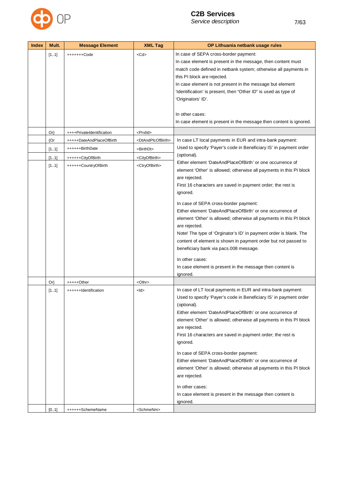

| <b>Index</b> | Mult.  | <b>Message Element</b>    | <b>XML Tag</b>                      | OP Lithuania netbank usage rules                                    |
|--------------|--------|---------------------------|-------------------------------------|---------------------------------------------------------------------|
|              | [11]   | +++++++Code               | $<$ Cd $>$                          | In case of SEPA cross-border payment:                               |
|              |        |                           |                                     | In case element is present in the message, then content must        |
|              |        |                           |                                     | match code defined in netbank system; otherwise all payments in     |
|              |        |                           |                                     | this PI block are rejected.                                         |
|              |        |                           |                                     | In case element is not present in the message but element           |
|              |        |                           |                                     | 'Identification' is present, then "Other ID" is used as type of     |
|              |        |                           |                                     | 'Originators' ID'.                                                  |
|              |        |                           |                                     |                                                                     |
|              |        |                           |                                     | In other cases:                                                     |
|              |        |                           |                                     | In case element is present in the message then content is ignored.  |
|              | $Or\}$ | ++++PrivateIdentification | <prvtid></prvtid>                   |                                                                     |
|              | ${Or}$ | +++++DateAndPlaceOfBirth  | <dtandplcofbirth></dtandplcofbirth> | In case LT local payments in EUR and intra-bank payment:            |
|              | [11]   | ++++++BirthDate           | <birthdt></birthdt>                 | Used to specify 'Payer's code in Beneficiary IS' in payment order   |
|              |        |                           |                                     | (optional).                                                         |
|              | [11]   | ++++++CityOfBirth         | <cityofbirth></cityofbirth>         | Either element 'DateAndPlaceOfBirth' or one occurrence of           |
|              | [11]   | ++++++CountryOfBirth      | <ctryofbirth></ctryofbirth>         | element 'Other' is allowed; otherwise all payments in this PI block |
|              |        |                           |                                     | are rejected.                                                       |
|              |        |                           |                                     | First 16 characters are saved in payment order; the rest is         |
|              |        |                           |                                     | ignored.                                                            |
|              |        |                           |                                     |                                                                     |
|              |        |                           |                                     | In case of SEPA cross-border payment:                               |
|              |        |                           |                                     | Either element 'DateAndPlaceOfBirth' or one occurrence of           |
|              |        |                           |                                     | element 'Other' is allowed; otherwise all payments in this PI block |
|              |        |                           |                                     | are rejected.                                                       |
|              |        |                           |                                     | Note! The type of 'Orginator's ID' in payment order is blank. The   |
|              |        |                           |                                     | content of element is shown in payment order but not passed to      |
|              |        |                           |                                     | beneficiary bank via pacs.008 message.                              |
|              |        |                           |                                     | In other cases:                                                     |
|              |        |                           |                                     | In case element is present in the message then content is           |
|              |        |                           |                                     | ignored.                                                            |
|              | $Or\}$ | +++++Other                | <othr></othr>                       |                                                                     |
|              | [11]   | ++++++Identification      | $<$ ld $>$                          | In case of LT local payments in EUR and intra-bank payment:         |
|              |        |                           |                                     | Used to specify 'Payer's code in Beneficiary IS' in payment order   |
|              |        |                           |                                     | (optional).                                                         |
|              |        |                           |                                     | Either element 'DateAndPlaceOfBirth' or one occurrence of           |
|              |        |                           |                                     | element 'Other' is allowed; otherwise all payments in this PI block |
|              |        |                           |                                     | are rejected.                                                       |
|              |        |                           |                                     | First 16 characters are saved in payment order; the rest is         |
|              |        |                           |                                     | ignored.                                                            |
|              |        |                           |                                     | In case of SEPA cross-border payment:                               |
|              |        |                           |                                     | Either element 'DateAndPlaceOfBirth' or one occurrence of           |
|              |        |                           |                                     | element 'Other' is allowed; otherwise all payments in this PI block |
|              |        |                           |                                     | are rejected.                                                       |

In other cases:

ignored.

[0..1] +++++++SchemeName <SchmeNm>

In case element is present in the message then content is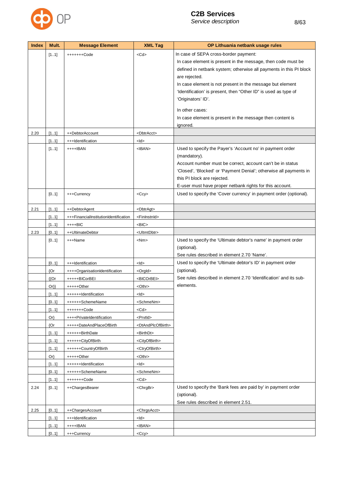

|              |       |                        |                       | Service description<br>8/63                                                                                                                                                                                                                                                                                                                                                                                                                    |
|--------------|-------|------------------------|-----------------------|------------------------------------------------------------------------------------------------------------------------------------------------------------------------------------------------------------------------------------------------------------------------------------------------------------------------------------------------------------------------------------------------------------------------------------------------|
| <b>Index</b> | Mult. | <b>Message Element</b> | <b>XML Tag</b>        | OP Lithuania netbank usage rules                                                                                                                                                                                                                                                                                                                                                                                                               |
|              | [11]  | +++++++Code            | $<$ Cd $>$            | In case of SEPA cross-border payment:<br>In case element is present in the message, then code must be<br>defined in netbank system; otherwise all payments in this PI block<br>are rejected.<br>In case element is not present in the message but element<br>'Identification' is present, then "Other ID" is used as type of<br>'Originators' ID'.<br>In other cases:<br>In case element is present in the message then content is<br>ignored. |
| 2.20         | [11]  | ++DebtorAccount        | <dbtracct></dbtracct> |                                                                                                                                                                                                                                                                                                                                                                                                                                                |
|              | [11]  | +++Identification      | $<$ ld $>$            |                                                                                                                                                                                                                                                                                                                                                                                                                                                |

|      |             |                                       |                                     | in case element is present in the message then content is<br>ignored.                                                                                                                                                                        |
|------|-------------|---------------------------------------|-------------------------------------|----------------------------------------------------------------------------------------------------------------------------------------------------------------------------------------------------------------------------------------------|
| 2.20 | [11]        | ++DebtorAccount                       | <dbtracct></dbtracct>               |                                                                                                                                                                                                                                              |
|      | [11]        | +++Identification                     | $<$ ld $>$                          |                                                                                                                                                                                                                                              |
|      | [11]        | ++++IBAN                              | $<$ IBAN $>$                        | Used to specify the Payer's 'Account no' in payment order<br>(mandatory).<br>Account number must be correct, account can't be in status<br>'Closed', 'Blocked' or 'Payment Denial'; otherwise all payments in<br>this PI block are rejected. |
|      | [01]        | +++Currency                           | $<$ Ccy $>$                         | E-user must have proper netbank rights for this account.<br>Used to specify the 'Cover currency' in payment order (optional).                                                                                                                |
| 2.21 | [11]        | ++DebtorAgent                         | <dbtragt></dbtragt>                 |                                                                                                                                                                                                                                              |
|      | [11]        | +++FinancialInstitutionIdentification | <fininstnid></fininstnid>           |                                                                                                                                                                                                                                              |
|      | [11]        | ++++BIC                               | $<$ BIC $>$                         |                                                                                                                                                                                                                                              |
| 2.23 | [01]        | ++UltimateDebtor                      | <ultmtdbtr></ultmtdbtr>             |                                                                                                                                                                                                                                              |
|      | [0.1]       | +++Name                               | <nm></nm>                           | Used to specify the 'Ultimate debtor's name' in payment order<br>(optional).<br>See rules described in element 2.70 'Name'.                                                                                                                  |
|      | [01]        | +++Identification                     | $<$ ld $>$                          | Used to specify the 'Ultimate debtor's ID' in payment order                                                                                                                                                                                  |
|      | {Or         | ++++OrganisationIdentification        | <orgld></orgld>                     | (optional).                                                                                                                                                                                                                                  |
|      | ${^{\{Or}}$ | +++++BICorBEI                         | <bicorbei></bicorbei>               | See rules described in element 2.70 'Identification' and its sub-                                                                                                                                                                            |
|      | $Or\}$      | +++++Other                            | <othr></othr>                       | elements.                                                                                                                                                                                                                                    |
|      | [11]        | ++++++Identification                  | <ld></ld>                           |                                                                                                                                                                                                                                              |
|      | [01]        | ++++++SchemeName                      | <schmenm></schmenm>                 |                                                                                                                                                                                                                                              |
|      | [11]        | +++++++Code                           | $<$ Cd $>$                          |                                                                                                                                                                                                                                              |
|      | $Or\}$      | ++++PrivateIdentification             | <prvtid></prvtid>                   |                                                                                                                                                                                                                                              |
|      | {Or         | +++++DateAndPlaceOfBirth              | <dtandplcofbirth></dtandplcofbirth> |                                                                                                                                                                                                                                              |
|      | [11]        | ++++++BirthDate                       | <birthdt></birthdt>                 |                                                                                                                                                                                                                                              |
|      | [11]        | ++++++CityOfBirth                     | <cityofbirth></cityofbirth>         |                                                                                                                                                                                                                                              |
|      | [11]        | ++++++CountryOfBirth                  | <ctryofbirth></ctryofbirth>         |                                                                                                                                                                                                                                              |
|      | $Or\}$      | +++++Other                            | <othr></othr>                       |                                                                                                                                                                                                                                              |
|      | [11]        | ++++++Identification                  | <ld></ld>                           |                                                                                                                                                                                                                                              |
|      | [01]        | ++++++SchemeName                      | <schmenm></schmenm>                 |                                                                                                                                                                                                                                              |
|      | [11]        | +++++++Code                           | $<$ Cd>                             |                                                                                                                                                                                                                                              |
| 2.24 | [01]        | ++ChargesBearer                       | <chrgbr></chrgbr>                   | Used to specify the 'Bank fees are paid by' in payment order<br>(optional).<br>See rules described in element 2.51.                                                                                                                          |
| 2.25 | [01]        | ++ChargesAccount                      | <chrgsacct></chrgsacct>             |                                                                                                                                                                                                                                              |
|      | [11]        | +++Identification                     | <ld></ld>                           |                                                                                                                                                                                                                                              |
|      | [11]        | ++++IBAN                              | $<$ IBAN $>$                        |                                                                                                                                                                                                                                              |
|      | [0.1]       | +++Currency                           | $<$ Ccy $>$                         |                                                                                                                                                                                                                                              |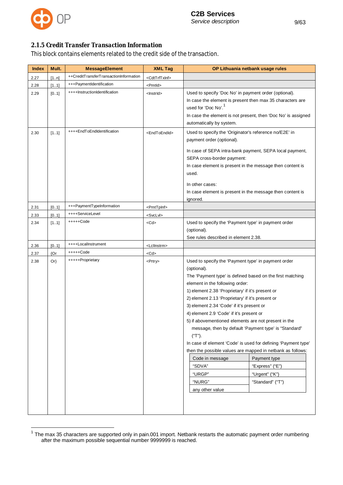

## *2.1.5 Credit Transfer Transaction Information*

This block contains elements related to the credit side of the transaction.

| <b>MessageElement</b>                  | <b>XML Tag</b>              | OP Lithuania netbank usage rules                                                                                                                                                                                                                                                                                                                                                                                                                                                                                                                                                                                                                                                                                                                                           |
|----------------------------------------|-----------------------------|----------------------------------------------------------------------------------------------------------------------------------------------------------------------------------------------------------------------------------------------------------------------------------------------------------------------------------------------------------------------------------------------------------------------------------------------------------------------------------------------------------------------------------------------------------------------------------------------------------------------------------------------------------------------------------------------------------------------------------------------------------------------------|
| ++CreditTransferTransactionInformation | <cdttrftxinf></cdttrftxinf> |                                                                                                                                                                                                                                                                                                                                                                                                                                                                                                                                                                                                                                                                                                                                                                            |
| +++PaymentIdentification               | <pmtld></pmtld>             |                                                                                                                                                                                                                                                                                                                                                                                                                                                                                                                                                                                                                                                                                                                                                                            |
| ++++InstructionIdentification          | <lnstrld></lnstrld>         | Used to specify 'Doc No' in payment order (optional).<br>In case the element is present then max 35 characters are<br>used for 'Doc No'. <sup>1</sup><br>In case the element is not present, then 'Doc No' is assigned<br>automatically by system.                                                                                                                                                                                                                                                                                                                                                                                                                                                                                                                         |
| ++++EndToEndIdentification             | <endtoendid></endtoendid>   | Used to specify the 'Originator's reference no/E2E' in<br>payment order (optional).<br>In case of SEPA intra-bank payment, SEPA local payment,<br>SEPA cross-border payment:<br>In case element is present in the message then content is<br>used.<br>In other cases:<br>In case element is present in the message then content is<br>ignored.                                                                                                                                                                                                                                                                                                                                                                                                                             |
| +++PaymentTypeInformation              | <pmttplnf></pmttplnf>       |                                                                                                                                                                                                                                                                                                                                                                                                                                                                                                                                                                                                                                                                                                                                                                            |
| ++++ServiceLevel                       | <svclvl></svclvl>           |                                                                                                                                                                                                                                                                                                                                                                                                                                                                                                                                                                                                                                                                                                                                                                            |
| +++++Code                              | <cd></cd>                   | Used to specify the 'Payment type' in payment order<br>(optional).<br>See rules described in element 2.38.                                                                                                                                                                                                                                                                                                                                                                                                                                                                                                                                                                                                                                                                 |
| ++++LocalInstrument                    | <lcllnstrm></lcllnstrm>     |                                                                                                                                                                                                                                                                                                                                                                                                                                                                                                                                                                                                                                                                                                                                                                            |
| +++++Code                              | <cd></cd>                   |                                                                                                                                                                                                                                                                                                                                                                                                                                                                                                                                                                                                                                                                                                                                                                            |
| +++++Proprietary                       | <prtry></prtry>             | Used to specify the 'Payment type' in payment order<br>(optional).<br>The 'Payment type' is defined based on the first matching<br>element in the following order:<br>1) element 2.38 'Proprietary' if it's present or<br>2) element 2.13 'Proprietary' if it's present or<br>3) element 2.34 'Code' if it's present or<br>4) element 2.9 'Code' if it's present or<br>5) if abovementioned elements are not present in the<br>message, then by default 'Payment type' is "Standard"<br>("T").<br>In case of element 'Code' is used for defining 'Payment type'<br>then the possible values are mapped in netbank as follows:<br>Payment type<br>Code in message<br>"SDVA"<br>"Express" ("E")<br>"URGP"<br>"Urgent" ("K")<br>"NURG"<br>"Standard" ("T")<br>any other value |
|                                        |                             |                                                                                                                                                                                                                                                                                                                                                                                                                                                                                                                                                                                                                                                                                                                                                                            |

 $1$  The max 35 characters are supported only in pain.001 import. Netbank restarts the automatic payment order numbering after the maximum possible sequential number 9999999 is reached.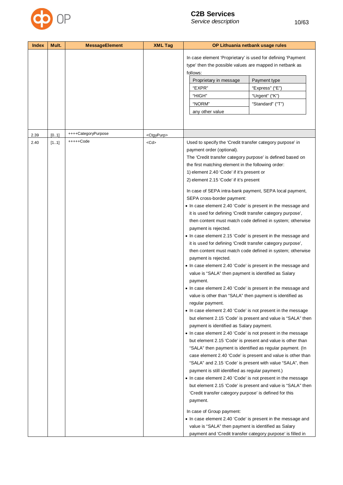

| In case element 'Proprietary' is used for defining 'Payment<br>type' then the possible values are mapped in netbank as<br>follows:<br>Proprietary in message<br>Payment type<br>"EXPR"<br>"Express" ("E")<br>"HIGH"<br>"Urgent" ("K")<br>"Standard" ("T")<br>"NORM"<br>any other value<br>++++CategoryPurpose<br>[0.1]<br>2.39<br><ctgypurp><br/>+++++Code<br/>Used to specify the 'Credit transfer category purpose' in<br/>2.40<br/>[11]<br/><cd><br/>payment order (optional).<br/>The 'Credit transfer category purpose' is defined based on<br/>the first matching element in the following order:<br/>1) element 2.40 'Code' if it's present or<br/>2) element 2.15 'Code' if it's present<br/>SEPA cross-border payment:<br/>it is used for defining 'Credit transfer category purpose',<br/>payment is rejected.<br/>it is used for defining 'Credit transfer category purpose',<br/>payment is rejected.<br/>value is "SALA" then payment is identified as Salary<br/>payment.<br/>value is other than "SALA" then payment is identified as<br/>regular payment.<br/>payment is identified as Salary payment.<br/>payment is still identified as regular payment.)</cd></ctgypurp> | <b>Index</b> | Mult. | <b>MessageElement</b> | <b>XML Tag</b> | OP Lithuania netbank usage rules                                                                                                                                                                                                                                                                                                                                                                                                                                                                                                                                                                                                                                                                                                                                                                                                                                                                                                                                                                                                                                                               |
|---------------------------------------------------------------------------------------------------------------------------------------------------------------------------------------------------------------------------------------------------------------------------------------------------------------------------------------------------------------------------------------------------------------------------------------------------------------------------------------------------------------------------------------------------------------------------------------------------------------------------------------------------------------------------------------------------------------------------------------------------------------------------------------------------------------------------------------------------------------------------------------------------------------------------------------------------------------------------------------------------------------------------------------------------------------------------------------------------------------------------------------------------------------------------------------------|--------------|-------|-----------------------|----------------|------------------------------------------------------------------------------------------------------------------------------------------------------------------------------------------------------------------------------------------------------------------------------------------------------------------------------------------------------------------------------------------------------------------------------------------------------------------------------------------------------------------------------------------------------------------------------------------------------------------------------------------------------------------------------------------------------------------------------------------------------------------------------------------------------------------------------------------------------------------------------------------------------------------------------------------------------------------------------------------------------------------------------------------------------------------------------------------------|
|                                                                                                                                                                                                                                                                                                                                                                                                                                                                                                                                                                                                                                                                                                                                                                                                                                                                                                                                                                                                                                                                                                                                                                                             |              |       |                       |                |                                                                                                                                                                                                                                                                                                                                                                                                                                                                                                                                                                                                                                                                                                                                                                                                                                                                                                                                                                                                                                                                                                |
|                                                                                                                                                                                                                                                                                                                                                                                                                                                                                                                                                                                                                                                                                                                                                                                                                                                                                                                                                                                                                                                                                                                                                                                             |              |       |                       |                |                                                                                                                                                                                                                                                                                                                                                                                                                                                                                                                                                                                                                                                                                                                                                                                                                                                                                                                                                                                                                                                                                                |
| 'Credit transfer category purpose' is defined for this<br>payment.<br>In case of Group payment:<br>value is "SALA" then payment is identified as Salary                                                                                                                                                                                                                                                                                                                                                                                                                                                                                                                                                                                                                                                                                                                                                                                                                                                                                                                                                                                                                                     |              |       |                       |                | In case of SEPA intra-bank payment, SEPA local payment,<br>• In case element 2.40 'Code' is present in the message and<br>then content must match code defined in system; otherwise<br>• In case element 2.15 'Code' is present in the message and<br>then content must match code defined in system; otherwise<br>• In case element 2.40 'Code' is present in the message and<br>• In case element 2.40 'Code' is present in the message and<br>• In case element 2.40 'Code' is not present in the message<br>but element 2.15 'Code' is present and value is "SALA" then<br>• In case element 2.40 'Code' is not present in the message<br>but element 2.15 'Code' is present and value is other than<br>"SALA" then payment is identified as regular payment. (In<br>case element 2.40 'Code' is present and value is other than<br>"SALA" and 2.15 'Code' is present with value "SALA", then<br>• In case element 2.40 'Code' is not present in the message<br>but element 2.15 'Code' is present and value is "SALA" then<br>• In case element 2.40 'Code' is present in the message and |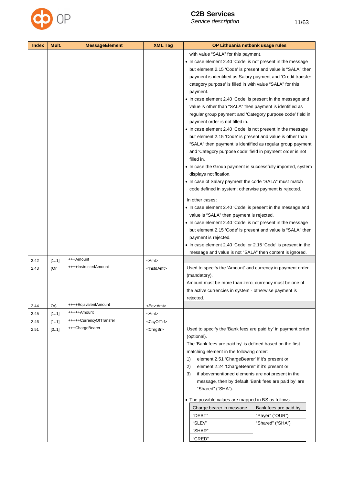

| with value "SALA" for this payment.<br>• In case element 2.40 'Code' is not present in the message<br>but element 2.15 'Code' is present and value is "SALA" then<br>payment is identified as Salary payment and 'Credit transfer<br>category purpose' is filled in with value "SALA" for this<br>payment.<br>• In case element 2.40 'Code' is present in the message and<br>value is other than "SALA" then payment is identified as<br>regular group payment and 'Category purpose code' field in<br>payment order is not filled in.<br>• In case element 2.40 'Code' is not present in the message<br>but element 2.15 'Code' is present and value is other than<br>"SALA" then payment is identified as regular group payment<br>and 'Category purpose code' field in payment order is not<br>filled in.<br>• In case the Group payment is successfully imported, system<br>displays notification.<br>• In case of Salary payment the code "SALA" must match<br>code defined in system; otherwise payment is rejected.<br>In other cases:<br>• In case element 2.40 'Code' is present in the message and<br>value is "SALA" then payment is rejected.<br>• In case element 2.40 'Code' is not present in the message<br>but element 2.15 'Code' is present and value is "SALA" then<br>payment is rejected.<br>• In case element 2.40 'Code' or 2.15 'Code' is present in the |
|-----------------------------------------------------------------------------------------------------------------------------------------------------------------------------------------------------------------------------------------------------------------------------------------------------------------------------------------------------------------------------------------------------------------------------------------------------------------------------------------------------------------------------------------------------------------------------------------------------------------------------------------------------------------------------------------------------------------------------------------------------------------------------------------------------------------------------------------------------------------------------------------------------------------------------------------------------------------------------------------------------------------------------------------------------------------------------------------------------------------------------------------------------------------------------------------------------------------------------------------------------------------------------------------------------------------------------------------------------------------------------------|
|                                                                                                                                                                                                                                                                                                                                                                                                                                                                                                                                                                                                                                                                                                                                                                                                                                                                                                                                                                                                                                                                                                                                                                                                                                                                                                                                                                                   |
|                                                                                                                                                                                                                                                                                                                                                                                                                                                                                                                                                                                                                                                                                                                                                                                                                                                                                                                                                                                                                                                                                                                                                                                                                                                                                                                                                                                   |
| message and value is not "SALA" then content is ignored.                                                                                                                                                                                                                                                                                                                                                                                                                                                                                                                                                                                                                                                                                                                                                                                                                                                                                                                                                                                                                                                                                                                                                                                                                                                                                                                          |

| 2.42 | [11]   | +++Amount               | $<$ Amt $>$           |                                                                                                                                                                                                                                                                                                                                                                                                                                                                                                                                                                                                                              |
|------|--------|-------------------------|-----------------------|------------------------------------------------------------------------------------------------------------------------------------------------------------------------------------------------------------------------------------------------------------------------------------------------------------------------------------------------------------------------------------------------------------------------------------------------------------------------------------------------------------------------------------------------------------------------------------------------------------------------------|
| 2.43 | ${Or}$ | ++++InstructedAmount    | <lnstdamt></lnstdamt> | Used to specify the 'Amount' and currency in payment order<br>(mandatory).<br>Amount must be more than zero, currency must be one of<br>the active currencies in system - otherwise payment is<br>rejected.                                                                                                                                                                                                                                                                                                                                                                                                                  |
| 2.44 | $Or\}$ | ++++EquivalentAmount    | <egvtamt></egvtamt>   |                                                                                                                                                                                                                                                                                                                                                                                                                                                                                                                                                                                                                              |
| 2.45 | [11]   | +++++Amount             | $<$ Amt $>$           |                                                                                                                                                                                                                                                                                                                                                                                                                                                                                                                                                                                                                              |
| 2.46 | [11]   | +++++CurrencyOfTransfer | <ccyoftrf></ccyoftrf> |                                                                                                                                                                                                                                                                                                                                                                                                                                                                                                                                                                                                                              |
| 2.51 | [0.1]  | +++ChargeBearer         | <chrgbr></chrgbr>     | Used to specify the 'Bank fees are paid by' in payment order<br>(optional).<br>The 'Bank fees are paid by' is defined based on the first<br>matching element in the following order:<br>element 2.51 'ChargeBearer' if it's present or<br>1)<br>element 2.24 'ChargeBearer' if it's present or<br>2)<br>if abovementioned elements are not present in the<br>3)<br>message, then by default 'Bank fees are paid by' are<br>"Shared" ("SHA").<br>• The possible values are mapped in BS as follows:<br>Bank fees are paid by<br>Charge bearer in message<br>"DEBT"<br>"Payer" ("OUR")<br>"SLEV"<br>"Shared" ("SHA")<br>"SHAR" |

"CRED"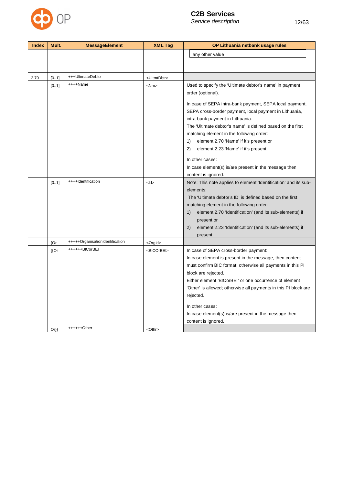

| <b>Index</b> | Mult.       | <b>MessageElement</b>           | <b>XML Tag</b>          | OP Lithuania netbank usage rules                                                                                  |
|--------------|-------------|---------------------------------|-------------------------|-------------------------------------------------------------------------------------------------------------------|
|              |             |                                 |                         | any other value                                                                                                   |
|              |             |                                 |                         |                                                                                                                   |
|              |             |                                 |                         |                                                                                                                   |
| 2.70         | [01]        | +++UltimateDebtor               | <ultmtdbtr></ultmtdbtr> |                                                                                                                   |
|              | [01]        | ++++Name                        | $<$ Nm $>$              | Used to specify the 'Ultimate debtor's name' in payment                                                           |
|              |             |                                 |                         | order (optional).                                                                                                 |
|              |             |                                 |                         |                                                                                                                   |
|              |             |                                 |                         | In case of SEPA intra-bank payment, SEPA local payment,<br>SEPA cross-border payment, local payment in Lithuania, |
|              |             |                                 |                         | intra-bank payment in Lithuania:                                                                                  |
|              |             |                                 |                         | The 'Ultimate debtor's name' is defined based on the first                                                        |
|              |             |                                 |                         | matching element in the following order:                                                                          |
|              |             |                                 |                         | element 2.70 'Name' if it's present or<br>1)                                                                      |
|              |             |                                 |                         | 2)<br>element 2.23 'Name' if it's present                                                                         |
|              |             |                                 |                         |                                                                                                                   |
|              |             |                                 |                         | In other cases:                                                                                                   |
|              |             |                                 |                         | In case element(s) is/are present in the message then                                                             |
|              |             | ++++Identification              |                         | content is ignored.                                                                                               |
|              | [01]        |                                 | $<$ ld>                 | Note: This note applies to element 'Identification' and its sub-<br>elements:                                     |
|              |             |                                 |                         | The 'Ultimate debtor's ID' is defined based on the first                                                          |
|              |             |                                 |                         | matching element in the following order:                                                                          |
|              |             |                                 |                         | element 2.70 'Identification' (and its sub-elements) if<br>1)                                                     |
|              |             |                                 |                         | present or                                                                                                        |
|              |             |                                 |                         | 2)<br>element 2.23 'Identification' (and its sub-elements) if                                                     |
|              |             |                                 |                         | present                                                                                                           |
|              | ${Or}$      | +++++OrganisationIdentification | <orgld></orgld>         |                                                                                                                   |
|              | ${^{\{Or}}$ | ++++++BICorBEI                  | <bicorbei></bicorbei>   | In case of SEPA cross-border payment:                                                                             |
|              |             |                                 |                         | In case element is present in the message, then content                                                           |
|              |             |                                 |                         | must confirm BIC format; otherwise all payments in this PI                                                        |
|              |             |                                 |                         | block are rejected.                                                                                               |
|              |             |                                 |                         | Either element 'BICorBEI' or one occurrence of element                                                            |
|              |             |                                 |                         | 'Other' is allowed; otherwise all payments in this PI block are                                                   |
|              |             |                                 |                         | rejected.                                                                                                         |
|              |             |                                 |                         | In other cases:                                                                                                   |
|              |             |                                 |                         | In case element(s) is/are present in the message then                                                             |
|              |             |                                 |                         | content is ignored.                                                                                               |
|              | $Or\}$      | $+++++Other$                    | <othr></othr>           |                                                                                                                   |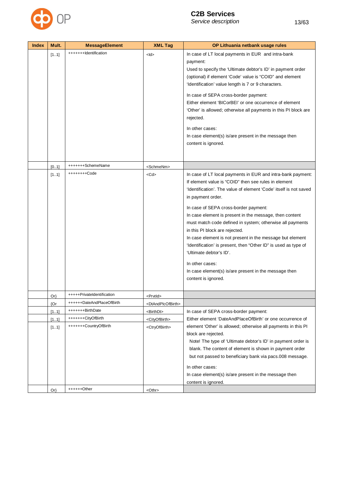

| <b>Index</b> | Mult.  | <b>MessageElement</b>                | <b>XML Tag</b>                      | OP Lithuania netbank usage rules                                                                                                                                                                                                                                                                                                                                                                                                                                                                                                                                                                                                                                               |
|--------------|--------|--------------------------------------|-------------------------------------|--------------------------------------------------------------------------------------------------------------------------------------------------------------------------------------------------------------------------------------------------------------------------------------------------------------------------------------------------------------------------------------------------------------------------------------------------------------------------------------------------------------------------------------------------------------------------------------------------------------------------------------------------------------------------------|
|              | [11]   | +++++++Identification                | $<$ ld>                             | In case of LT local payments in EUR and intra-bank<br>payment:<br>Used to specify the 'Ultimate debtor's ID' in payment order<br>(optional) if element 'Code' value is "COID" and element<br>'Identification' value length is 7 or 9 characters.<br>In case of SEPA cross-border payment:<br>Either element 'BICorBEI' or one occurrence of element<br>'Other' is allowed; otherwise all payments in this PI block are<br>rejected.<br>In other cases:<br>In case element(s) is/are present in the message then<br>content is ignored.                                                                                                                                         |
|              | [0.1]  | +++++++SchemeName                    | <schmenm></schmenm>                 |                                                                                                                                                                                                                                                                                                                                                                                                                                                                                                                                                                                                                                                                                |
|              | [11]   | ++++++++Code                         | <cd></cd>                           | In case of LT local payments in EUR and intra-bank payment:<br>If element value is "COID" then see rules in element<br>'Identification'. The value of element 'Code' itself is not saved<br>in payment order.<br>In case of SEPA cross-border payment:<br>In case element is present in the message, then content<br>must match code defined in system; otherwise all payments<br>in this PI block are rejected.<br>In case element is not present in the message but element<br>'Identification' is present, then "Other ID" is used as type of<br>'Ultimate debtor's ID'.<br>In other cases:<br>In case element(s) is/are present in the message then<br>content is ignored. |
|              | $Or\}$ | +++++PrivateIdentification           | <prvtid></prvtid>                   |                                                                                                                                                                                                                                                                                                                                                                                                                                                                                                                                                                                                                                                                                |
|              | {Or    | ++++++DateAndPlaceOfBirth            | <dtandplcofbirth></dtandplcofbirth> |                                                                                                                                                                                                                                                                                                                                                                                                                                                                                                                                                                                                                                                                                |
|              | [11]   | +++++++BirthDate                     | <birthdt></birthdt>                 | In case of SEPA cross-border payment:                                                                                                                                                                                                                                                                                                                                                                                                                                                                                                                                                                                                                                          |
|              | [11]   | +++++++CityOfBirth                   | <cityofbirth></cityofbirth>         | Either element 'DateAndPlaceOfBirth' or one occurrence of                                                                                                                                                                                                                                                                                                                                                                                                                                                                                                                                                                                                                      |
|              | [11]   | +++++++CountryOfBirth<br>++++++Other | <ctryofbirth></ctryofbirth>         | element 'Other' is allowed; otherwise all payments in this PI<br>block are rejected.<br>Note! The type of 'Ultimate debtor's ID' in payment order is<br>blank. The content of element is shown in payment order<br>but not passed to beneficiary bank via pacs.008 message.<br>In other cases:<br>In case element(s) is/are present in the message then<br>content is ignored.                                                                                                                                                                                                                                                                                                 |
|              | $Or\}$ |                                      | <othr></othr>                       |                                                                                                                                                                                                                                                                                                                                                                                                                                                                                                                                                                                                                                                                                |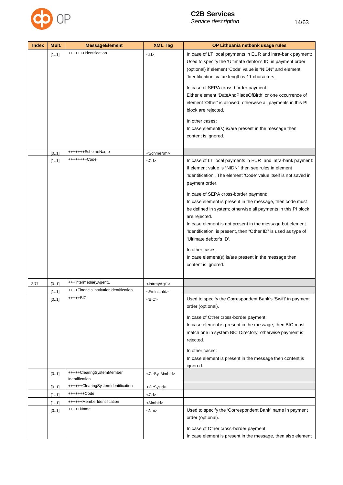

| <b>Index</b> | Mult. | <b>MessageElement</b>                       | <b>XML Tag</b>              | OP Lithuania netbank usage rules                                                                                                                                                                                                                  |
|--------------|-------|---------------------------------------------|-----------------------------|---------------------------------------------------------------------------------------------------------------------------------------------------------------------------------------------------------------------------------------------------|
|              | [11]  | +++++++Identification                       | $<$ ld>                     | In case of LT local payments in EUR and intra-bank payment:<br>Used to specify the 'Ultimate debtor's ID' in payment order<br>(optional) if element 'Code' value is "NIDN" and element<br>'Identification' value length is 11 characters.         |
|              |       |                                             |                             | In case of SEPA cross-border payment:<br>Either element 'DateAndPlaceOfBirth' or one occurrence of<br>element 'Other' is allowed; otherwise all payments in this PI<br>block are rejected.                                                        |
|              |       |                                             |                             | In other cases:<br>In case element(s) is/are present in the message then<br>content is ignored.                                                                                                                                                   |
|              | [0.1] | +++++++SchemeName                           | <schmenm></schmenm>         |                                                                                                                                                                                                                                                   |
|              | [11]  | ++++++++Code                                | $<$ Cd $>$                  | In case of LT local payments in EUR and intra-bank payment:<br>If element value is "NIDN" then see rules in element<br>'Identification'. The element 'Code' value itself is not saved in<br>payment order.                                        |
|              |       |                                             |                             | In case of SEPA cross-border payment:<br>In case element is present in the message, then code must<br>be defined in system; otherwise all payments in this PI block<br>are rejected.<br>In case element is not present in the message but element |
|              |       |                                             |                             | 'Identification' is present, then "Other ID" is used as type of<br>'Ultimate debtor's ID'.                                                                                                                                                        |
|              |       |                                             |                             | In other cases:<br>In case element(s) is/are present in the message then<br>content is ignored.                                                                                                                                                   |
| 2.71         | [0.1] | +++IntermediaryAgent1                       | <lntrmyagt1></lntrmyagt1>   |                                                                                                                                                                                                                                                   |
|              | [11]  | ++++FinancialInstitutionIdentification      | <fininstnid></fininstnid>   |                                                                                                                                                                                                                                                   |
|              | [01]  | +++++BIC                                    | <bic></bic>                 | Used to specify the Correspondent Bank's 'Swift' in payment<br>order (optional).                                                                                                                                                                  |
|              |       |                                             |                             | In case of Other cross-border payment:<br>In case element is present in the message, then BIC must<br>match one in system BIC Directory; otherwise payment is                                                                                     |
|              |       |                                             |                             | rejected.                                                                                                                                                                                                                                         |
|              |       |                                             |                             | In other cases:                                                                                                                                                                                                                                   |
|              |       |                                             |                             | In case element is present in the message then content is<br>ignored.                                                                                                                                                                             |
|              | [01]  | +++++ClearingSystemMember<br>Identification | <clrsysmmbld></clrsysmmbld> |                                                                                                                                                                                                                                                   |
|              | [0.1] | ++++++ClearingSystemIdentification          | <clrsysid></clrsysid>       |                                                                                                                                                                                                                                                   |
|              | [11]  | +++++++Code                                 | <cd></cd>                   |                                                                                                                                                                                                                                                   |
|              | [11]  | ++++++MemberIdentification                  | <mmbld></mmbld>             |                                                                                                                                                                                                                                                   |
|              | [0.1] | +++++Name                                   | <nm></nm>                   | Used to specify the 'Correspondent Bank' name in payment<br>order (optional).                                                                                                                                                                     |
|              |       |                                             |                             | In case of Other cross-border payment:<br>In case element is present in the message, then also element                                                                                                                                            |
|              |       |                                             |                             |                                                                                                                                                                                                                                                   |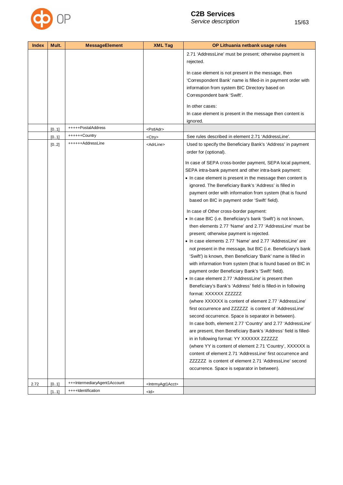

| <b>Index</b> | Mult.          | <b>MessageElement</b>        | <b>XML Tag</b>                                                             | OP Lithuania netbank usage rules                                                                                                                                                                                                                                                                                                                                                                                                                                                                                                                                                                                                                                                                                                                                                                                                                                                                                                                                                                                                                                                                                                                                                                                                                                                                                                                                                                                                                                                                                                                                                                                                                                                                                                                                                             |
|--------------|----------------|------------------------------|----------------------------------------------------------------------------|----------------------------------------------------------------------------------------------------------------------------------------------------------------------------------------------------------------------------------------------------------------------------------------------------------------------------------------------------------------------------------------------------------------------------------------------------------------------------------------------------------------------------------------------------------------------------------------------------------------------------------------------------------------------------------------------------------------------------------------------------------------------------------------------------------------------------------------------------------------------------------------------------------------------------------------------------------------------------------------------------------------------------------------------------------------------------------------------------------------------------------------------------------------------------------------------------------------------------------------------------------------------------------------------------------------------------------------------------------------------------------------------------------------------------------------------------------------------------------------------------------------------------------------------------------------------------------------------------------------------------------------------------------------------------------------------------------------------------------------------------------------------------------------------|
|              |                | +++++PostalAddress           |                                                                            | 2.71 'AddressLine' must be present; otherwise payment is<br>rejected.<br>In case element is not present in the message, then<br>'Correspondent Bank' name is filled-in in payment order with<br>information from system BIC Directory based on<br>Correspondent bank 'Swift'.<br>In other cases:<br>In case element is present in the message then content is<br>ignored.                                                                                                                                                                                                                                                                                                                                                                                                                                                                                                                                                                                                                                                                                                                                                                                                                                                                                                                                                                                                                                                                                                                                                                                                                                                                                                                                                                                                                    |
|              | [0.1]          | ++++++Country                | <pstladr></pstladr>                                                        |                                                                                                                                                                                                                                                                                                                                                                                                                                                                                                                                                                                                                                                                                                                                                                                                                                                                                                                                                                                                                                                                                                                                                                                                                                                                                                                                                                                                                                                                                                                                                                                                                                                                                                                                                                                              |
|              | [0.1]<br>[0.2] | ++++++AddressLine            | <ctry><br/><adrline></adrline></ctry>                                      | See rules described in element 2.71 'AddressLine'.<br>Used to specify the Beneficiary Bank's 'Address' in payment<br>order for (optional).<br>In case of SEPA cross-border payment, SEPA local payment,<br>SEPA intra-bank payment and other intra-bank payment:<br>• In case element is present in the message then content is<br>ignored. The Beneficiary Bank's 'Address' is filled in<br>payment order with information from system (that is found<br>based on BIC in payment order 'Swift' field).<br>In case of Other cross-border payment:<br>• In case BIC (i.e. Beneficiary's bank 'Swift') is not known,<br>then elements 2.77 'Name' and 2.77 'AddressLine' must be<br>present; otherwise payment is rejected.<br>• In case elements 2.77 'Name' and 2.77 'AddressLine' are<br>not present in the message, but BIC (i.e. Beneficiary's bank<br>'Swift') is known, then Beneficiary 'Bank' name is filled in<br>with information from system (that is found based on BIC in<br>payment order Beneficiary Bank's 'Swift' field).<br>• In case element 2.77 'AddressLine' is present then<br>Beneficiary's Bank's 'Address' field is filled-in in following<br>format: XXXXXX ZZZZZZZ<br>(where XXXXXX is content of element 2.77 'AddressLine'<br>first occurrence and ZZZZZZZ is content of 'AddressLine'<br>second occurrence. Space is separator in between).<br>In case both, element 2.77 'Country' and 2.77 'AddressLine'<br>are present, then Beneficiary Bank's 'Address' field is filled-<br>in in following format: YY XXXXXX ZZZZZZZ<br>(where YY is content of element 2.71 'Country', XXXXXX is<br>content of element 2.71 'AddressLine' first occurrence and<br>ZZZZZZ is content of element 2.71 'AddressLine' second<br>occurrence. Space is separator in between). |
|              |                | +++IntermediaryAgent1Account |                                                                            |                                                                                                                                                                                                                                                                                                                                                                                                                                                                                                                                                                                                                                                                                                                                                                                                                                                                                                                                                                                                                                                                                                                                                                                                                                                                                                                                                                                                                                                                                                                                                                                                                                                                                                                                                                                              |
| 2.72         | [01]<br>[11]   | ++++Identification           | <lntrmyagt1acct><br/><math>&lt;</math>ld<math>&gt;</math></lntrmyagt1acct> |                                                                                                                                                                                                                                                                                                                                                                                                                                                                                                                                                                                                                                                                                                                                                                                                                                                                                                                                                                                                                                                                                                                                                                                                                                                                                                                                                                                                                                                                                                                                                                                                                                                                                                                                                                                              |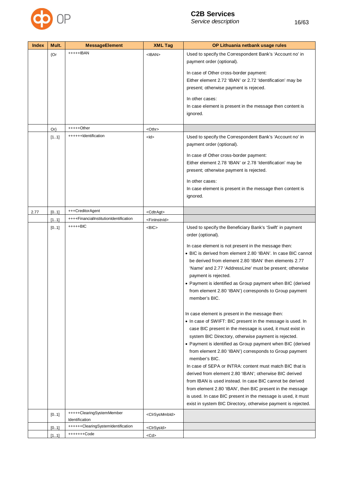

| <b>Index</b> | Mult.  | <b>MessageElement</b>                  | <b>XML Tag</b>              | OP Lithuania netbank usage rules                                                                                          |
|--------------|--------|----------------------------------------|-----------------------------|---------------------------------------------------------------------------------------------------------------------------|
|              | ${Or}$ | +++++IBAN                              | $<$ IBAN $>$                | Used to specify the Correspondent Bank's 'Account no' in<br>payment order (optional).                                     |
|              |        |                                        |                             | In case of Other cross-border payment:                                                                                    |
|              |        |                                        |                             | Either element 2.72 'IBAN' or 2.72 'Identification' may be                                                                |
|              |        |                                        |                             | present; otherwise payment is rejeced.                                                                                    |
|              |        |                                        |                             | In other cases:                                                                                                           |
|              |        |                                        |                             | In case element is present in the message then content is                                                                 |
|              |        |                                        |                             | ignored.                                                                                                                  |
|              | $Or\}$ | $++++$ Other                           | <othr></othr>               |                                                                                                                           |
|              | [11]   | ++++++Identification                   | $<$ ld>                     | Used to specify the Correspondent Bank's 'Account no' in<br>payment order (optional).                                     |
|              |        |                                        |                             | In case of Other cross-border payment:                                                                                    |
|              |        |                                        |                             | Either element 2.78 'IBAN' or 2.78 'Identification' may be                                                                |
|              |        |                                        |                             | present; otherwise payment is rejected.                                                                                   |
|              |        |                                        |                             | In other cases:                                                                                                           |
|              |        |                                        |                             | In case element is present in the message then content is                                                                 |
|              |        |                                        |                             | ignored.                                                                                                                  |
| 2.77         | [0.1]  | +++CreditorAgent                       | <cdtragt></cdtragt>         |                                                                                                                           |
|              | [11]   | ++++FinancialInstitutionIdentification | <fininstnid></fininstnid>   |                                                                                                                           |
|              | [01]   | $++++-BIC$                             | $<$ BIC $>$                 | Used to specify the Beneficiary Bank's 'Swift' in payment                                                                 |
|              |        |                                        |                             | order (optional).                                                                                                         |
|              |        |                                        |                             | In case element is not present in the message then:                                                                       |
|              |        |                                        |                             | • BIC is derived from element 2.80 'IBAN'. In case BIC cannot                                                             |
|              |        |                                        |                             | be derived from element 2.80 'IBAN' then elements 2.77                                                                    |
|              |        |                                        |                             | 'Name' and 2.77 'AddressLine' must be present; otherwise<br>payment is rejected.                                          |
|              |        |                                        |                             | • Payment is identified as Group payment when BIC (derived                                                                |
|              |        |                                        |                             | from element 2.80 'IBAN') corresponds to Group payment                                                                    |
|              |        |                                        |                             | member's BIC.                                                                                                             |
|              |        |                                        |                             | In case element is present in the message then:                                                                           |
|              |        |                                        |                             | • In case of SWIFT: BIC present in the message is used. In                                                                |
|              |        |                                        |                             | case BIC present in the message is used, it must exist in                                                                 |
|              |        |                                        |                             | system BIC Directory, otherwise payment is rejected.                                                                      |
|              |        |                                        |                             | • Payment is identified as Group payment when BIC (derived                                                                |
|              |        |                                        |                             | from element 2.80 'IBAN') corresponds to Group payment<br>member's BIC.                                                   |
|              |        |                                        |                             | In case of SEPA or INTRA: content must match BIC that is                                                                  |
|              |        |                                        |                             | derived from element 2.80 'IBAN'; otherwise BIC derived                                                                   |
|              |        |                                        |                             | from IBAN is used instead. In case BIC cannot be derived                                                                  |
|              |        |                                        |                             | from element 2.80 'IBAN', then BIC present in the message<br>is used. In case BIC present in the message is used, it must |
|              |        |                                        |                             | exist in system BIC Directory, otherwise payment is rejected.                                                             |
|              | [01]   | +++++ClearingSystemMember              | <clrsysmmbld></clrsysmmbld> |                                                                                                                           |
|              |        | Identification                         |                             |                                                                                                                           |
|              | [01]   | ++++++ClearingSystemIdentification     | <clrsysid></clrsysid>       |                                                                                                                           |
|              | [11]   | +++++++Code                            | <cd></cd>                   |                                                                                                                           |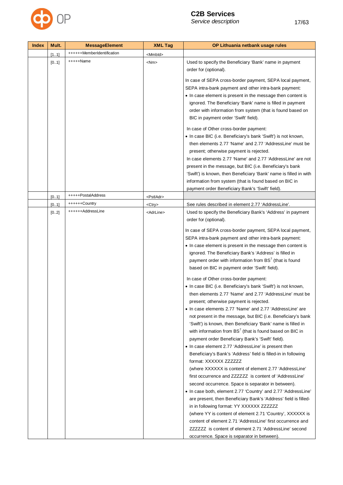

| <b>Index</b> | Mult. | <b>MessageElement</b>      | <b>XML Tag</b>      | OP Lithuania netbank usage rules                                                                                              |
|--------------|-------|----------------------------|---------------------|-------------------------------------------------------------------------------------------------------------------------------|
|              | [11]  | ++++++MemberIdentification | <mmbld></mmbld>     |                                                                                                                               |
|              | [01]  | +++++Name                  | $<$ Nm $>$          | Used to specify the Beneficiary 'Bank' name in payment<br>order for (optional).                                               |
|              |       |                            |                     | In case of SEPA cross-border payment, SEPA local payment,                                                                     |
|              |       |                            |                     | SEPA intra-bank payment and other intra-bank payment:                                                                         |
|              |       |                            |                     | • In case element is present in the message then content is                                                                   |
|              |       |                            |                     | ignored. The Beneficiary 'Bank' name is filled in payment                                                                     |
|              |       |                            |                     | order with information from system (that is found based on<br>BIC in payment order 'Swift' field).                            |
|              |       |                            |                     | In case of Other cross-border payment:                                                                                        |
|              |       |                            |                     | • In case BIC (i.e. Beneficiary's bank 'Swift') is not known,                                                                 |
|              |       |                            |                     | then elements 2.77 'Name' and 2.77 'AddressLine' must be                                                                      |
|              |       |                            |                     | present; otherwise payment is rejected.                                                                                       |
|              |       |                            |                     | In case elements 2.77 'Name' and 2.77 'AddressLine' are not                                                                   |
|              |       |                            |                     | present in the message, but BIC (i.e. Beneficiary's bank<br>'Swift') is known, then Beneficiary 'Bank' name is filled in with |
|              |       |                            |                     | information from system (that is found based on BIC in                                                                        |
|              |       |                            |                     | payment order Beneficiary Bank's 'Swift' field).                                                                              |
|              | [01]  | +++++PostalAddress         | <pstladr></pstladr> |                                                                                                                               |
|              | [0.1] | ++++++Country              | <ctry></ctry>       | See rules described in element 2.77 'AddressLine'.                                                                            |
|              | [02]  | ++++++AddressLine          | <adrline></adrline> | Used to specify the Beneficiary Bank's 'Address' in payment<br>order for (optional).                                          |
|              |       |                            |                     | In case of SEPA cross-border payment, SEPA local payment,                                                                     |
|              |       |                            |                     | SEPA intra-bank payment and other intra-bank payment:                                                                         |
|              |       |                            |                     | • In case element is present in the message then content is                                                                   |
|              |       |                            |                     | ignored. The Beneficiary Bank's 'Address' is filled in                                                                        |
|              |       |                            |                     | payment order with information from BS <sup>7</sup> (that is found<br>based on BIC in payment order 'Swift' field).           |
|              |       |                            |                     | In case of Other cross-border payment:                                                                                        |
|              |       |                            |                     | • In case BIC (i.e. Beneficiary's bank 'Swift') is not known,                                                                 |
|              |       |                            |                     | then elements 2.77 'Name' and 2.77 'AddressLine' must be<br>present; otherwise payment is rejected.                           |
|              |       |                            |                     | • In case elements 2.77 'Name' and 2.77 'AddressLine' are                                                                     |
|              |       |                            |                     | not present in the message, but BIC (i.e. Beneficiary's bank                                                                  |
|              |       |                            |                     | 'Swift') is known, then Beneficiary 'Bank' name is filled in                                                                  |
|              |       |                            |                     | with information from BS <sup>7</sup> (that is found based on BIC in                                                          |
|              |       |                            |                     | payment order Beneficiary Bank's 'Swift' field).                                                                              |
|              |       |                            |                     | • In case element 2.77 'AddressLine' is present then<br>Beneficiary's Bank's 'Address' field is filled-in in following        |
|              |       |                            |                     | format: XXXXXX ZZZZZZZ                                                                                                        |
|              |       |                            |                     | (where XXXXXX is content of element 2.77 'AddressLine'                                                                        |
|              |       |                            |                     | first occurrence and ZZZZZZZ is content of 'AddressLine'                                                                      |
|              |       |                            |                     | second occurrence. Space is separator in between).                                                                            |
|              |       |                            |                     | • In case both, element 2.77 'Country' and 2.77 'AddressLine'                                                                 |
|              |       |                            |                     | are present, then Beneficiary Bank's 'Address' field is filled-                                                               |
|              |       |                            |                     | in in following format: YY XXXXXX ZZZZZZZ                                                                                     |
|              |       |                            |                     | (where YY is content of element 2.71 'Country', XXXXXX is<br>content of element 2.71 'AddressLine' first occurrence and       |
|              |       |                            |                     | ZZZZZZZ is content of element 2.71 'AddressLine' second                                                                       |
|              |       |                            |                     | occurrence. Space is separator in between).                                                                                   |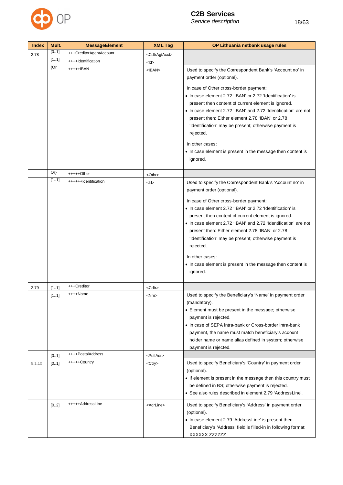

| <b>Index</b> | Mult.                | <b>MessageElement</b>                              | <b>XML Tag</b>                         | OP Lithuania netbank usage rules                                                                                                                                                                                                                                                                                                                                                                                                                                                                                                                                                                                                                                                                                                                                                                                            |
|--------------|----------------------|----------------------------------------------------|----------------------------------------|-----------------------------------------------------------------------------------------------------------------------------------------------------------------------------------------------------------------------------------------------------------------------------------------------------------------------------------------------------------------------------------------------------------------------------------------------------------------------------------------------------------------------------------------------------------------------------------------------------------------------------------------------------------------------------------------------------------------------------------------------------------------------------------------------------------------------------|
| 2.78         | [01]                 | +++CreditorAgentAccount                            | <cdtragtacct></cdtragtacct>            |                                                                                                                                                                                                                                                                                                                                                                                                                                                                                                                                                                                                                                                                                                                                                                                                                             |
|              | [11]                 | ++++Identification                                 | <ld></ld>                              |                                                                                                                                                                                                                                                                                                                                                                                                                                                                                                                                                                                                                                                                                                                                                                                                                             |
|              | ${Or}$               | +++++IBAN                                          | $<$ IBAN $>$                           | Used to specify the Correspondent Bank's 'Account no' in<br>payment order (optional).                                                                                                                                                                                                                                                                                                                                                                                                                                                                                                                                                                                                                                                                                                                                       |
|              |                      |                                                    |                                        | In case of Other cross-border payment:<br>• In case element 2.72 'IBAN' or 2.72 'Identification' is<br>present then content of current element is ignored.<br>• In case element 2.72 'IBAN' and 2.72 'Identification' are not<br>present then: Either element 2.78 'IBAN' or 2.78<br>'Identification' may be present; otherwise payment is<br>rejected.                                                                                                                                                                                                                                                                                                                                                                                                                                                                     |
|              |                      |                                                    |                                        | In other cases:<br>• In case element is present in the message then content is<br>ignored.                                                                                                                                                                                                                                                                                                                                                                                                                                                                                                                                                                                                                                                                                                                                  |
|              | $Or\}$               | $+++++Other$                                       | <othr></othr>                          |                                                                                                                                                                                                                                                                                                                                                                                                                                                                                                                                                                                                                                                                                                                                                                                                                             |
| 2.79         | [11]<br>[11]<br>[11] | ++++++Identification<br>+++Creditor<br>$++++$ Name | $<$ ld><br><cdtr><br/><nm></nm></cdtr> | Used to specify the Correspondent Bank's 'Account no' in<br>payment order (optional).<br>In case of Other cross-border payment:<br>• In case element 2.72 'IBAN' or 2.72 'Identification' is<br>present then content of current element is ignored.<br>• In case element 2.72 'IBAN' and 2.72 'Identification' are not<br>present then: Either element 2.78 'IBAN' or 2.78<br>'Identification' may be present; otherwise payment is<br>rejected.<br>In other cases:<br>• In case element is present in the message then content is<br>ignored.<br>Used to specify the Beneficiary's 'Name' in payment order<br>(mandatory).<br>• Element must be present in the message; otherwise<br>payment is rejected.<br>• In case of SEPA intra-bank or Cross-border intra-bank<br>payment, the name must match beneficiary's account |
|              |                      |                                                    |                                        | holder name or name alias defined in system; otherwise<br>payment is rejected.                                                                                                                                                                                                                                                                                                                                                                                                                                                                                                                                                                                                                                                                                                                                              |
|              | [01]                 | ++++PostalAddress                                  | <pstladr></pstladr>                    |                                                                                                                                                                                                                                                                                                                                                                                                                                                                                                                                                                                                                                                                                                                                                                                                                             |
| 9.1.10       | [01]                 | +++++Country                                       | <ctry></ctry>                          | Used to specify Beneficiary's 'Country' in payment order<br>(optional).<br>• If element is present in the message then this country must<br>be defined in BS; otherwise payment is rejected.<br>• See also rules described in element 2.79 'AddressLine'.                                                                                                                                                                                                                                                                                                                                                                                                                                                                                                                                                                   |
|              | [02]                 | +++++AddressLine                                   | <adrline></adrline>                    | Used to specify Beneficiary's 'Address' in payment order<br>(optional).<br>• In case element 2.79 'AddressLine' is present then<br>Beneficiary's 'Address' field is filled-in in following format:<br>XXXXXX ZZZZZZZ                                                                                                                                                                                                                                                                                                                                                                                                                                                                                                                                                                                                        |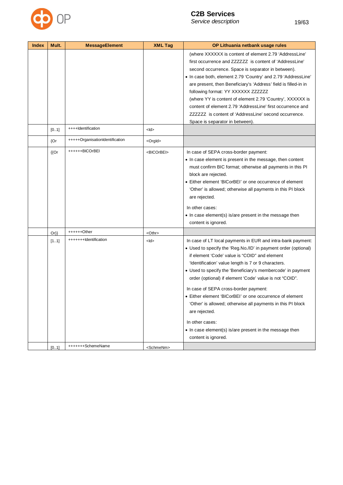

| <b>Index</b> | Mult.     | <b>MessageElement</b>           | <b>XML Tag</b>        | OP Lithuania netbank usage rules                                                                                                                                                                                                                                                                                                                                                                                                                                                                                                                                                                                                                          |
|--------------|-----------|---------------------------------|-----------------------|-----------------------------------------------------------------------------------------------------------------------------------------------------------------------------------------------------------------------------------------------------------------------------------------------------------------------------------------------------------------------------------------------------------------------------------------------------------------------------------------------------------------------------------------------------------------------------------------------------------------------------------------------------------|
|              |           |                                 |                       | (where XXXXXX is content of element 2.79 'AddressLine'<br>first occurrence and ZZZZZZZ is content of 'AddressLine'<br>second occurrence. Space is separator in between).<br>• In case both, element 2.79 'Country' and 2.79 'AddressLine'<br>are present, then Beneficiary's 'Address' field is filled-in in<br>following format: YY XXXXXX ZZZZZZZ<br>(where YY is content of element 2.79 'Country', XXXXXX is<br>content of element 2.79 'AddressLine' first occurrence and<br>ZZZZZZZ is content of 'AddressLine' second occurrence.<br>Space is separator in between).                                                                               |
|              | [01]      | ++++Identification              | $<$ ld>               |                                                                                                                                                                                                                                                                                                                                                                                                                                                                                                                                                                                                                                                           |
|              | ${Or}$    | +++++OrganisationIdentification | <orgld></orgld>       |                                                                                                                                                                                                                                                                                                                                                                                                                                                                                                                                                                                                                                                           |
|              | ${[}$ (Or | ++++++BICOrBEI                  | <bicorbei></bicorbei> | In case of SEPA cross-border payment:<br>• In case element is present in the message, then content<br>must confirm BIC format; otherwise all payments in this PI<br>block are rejected.<br>• Either element 'BICorBEI' or one occurrence of element<br>'Other' is allowed; otherwise all payments in this PI block<br>are rejected.<br>In other cases:<br>• In case element(s) is/are present in the message then<br>content is ignored.                                                                                                                                                                                                                  |
|              | $Or\}$    | ++++++Other                     | <othr></othr>         |                                                                                                                                                                                                                                                                                                                                                                                                                                                                                                                                                                                                                                                           |
|              | [11]      | +++++++Identification           | <ld></ld>             | In case of LT local payments in EUR and intra-bank payment:<br>• Used to specify the 'Reg.No./ID' in payment order (optional)<br>if element 'Code' value is "COID" and element<br>'Identification' value length is 7 or 9 characters.<br>• Used to specify the 'Beneficiary's membercode' in payment<br>order (optional) if element 'Code' value is not "COID".<br>In case of SEPA cross-border payment:<br>• Either element 'BICorBEI' or one occurrence of element<br>'Other' is allowed; otherwise all payments in this PI block<br>are rejected.<br>In other cases:<br>• In case element(s) is/are present in the message then<br>content is ignored. |
|              | [0.1]     | +++++++SchemeName               | <schmenm></schmenm>   |                                                                                                                                                                                                                                                                                                                                                                                                                                                                                                                                                                                                                                                           |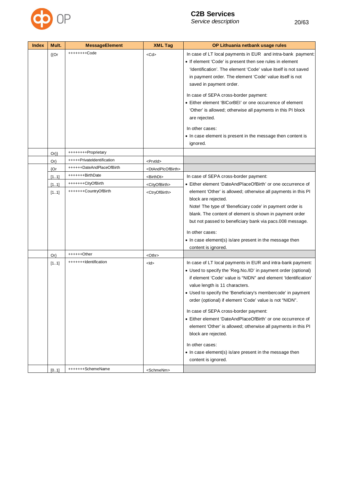

| <b>Index</b> | Mult.     | <b>MessageElement</b>      | <b>XML Tag</b>                      | OP Lithuania netbank usage rules                                                                                                                                                                                                                                                                                                                                                                                                                                                                                                                                                                                                                                 |
|--------------|-----------|----------------------------|-------------------------------------|------------------------------------------------------------------------------------------------------------------------------------------------------------------------------------------------------------------------------------------------------------------------------------------------------------------------------------------------------------------------------------------------------------------------------------------------------------------------------------------------------------------------------------------------------------------------------------------------------------------------------------------------------------------|
|              | ${[}$ (Or | ++++++++Code               | <cd></cd>                           | In case of LT local payments in EUR and intra-bank payment:<br>• If element 'Code' is present then see rules in element<br>'Identification'. The element 'Code' value itself is not saved<br>in payment order. The element 'Code' value itself is not                                                                                                                                                                                                                                                                                                                                                                                                            |
|              |           |                            |                                     | saved in payment order.                                                                                                                                                                                                                                                                                                                                                                                                                                                                                                                                                                                                                                          |
|              |           |                            |                                     | In case of SEPA cross-border payment:<br>• Either element 'BICorBEI' or one occurrence of element<br>'Other' is allowed; otherwise all payments in this PI block<br>are rejected.                                                                                                                                                                                                                                                                                                                                                                                                                                                                                |
|              |           |                            |                                     | In other cases:<br>• In case element is present in the message then content is<br>ignored.                                                                                                                                                                                                                                                                                                                                                                                                                                                                                                                                                                       |
|              | $Or\}$    | ++++++++Proprietary        |                                     |                                                                                                                                                                                                                                                                                                                                                                                                                                                                                                                                                                                                                                                                  |
|              | $Or\}$    | +++++PrivateIdentification | <prvtid></prvtid>                   |                                                                                                                                                                                                                                                                                                                                                                                                                                                                                                                                                                                                                                                                  |
|              | {Or       | ++++++DateAndPlaceOfBirth  | <dtandplcofbirth></dtandplcofbirth> |                                                                                                                                                                                                                                                                                                                                                                                                                                                                                                                                                                                                                                                                  |
|              | [11]      | +++++++BirthDate           | <birthdt></birthdt>                 | In case of SEPA cross-border payment:                                                                                                                                                                                                                                                                                                                                                                                                                                                                                                                                                                                                                            |
|              | [11]      | +++++++CityOfBirth         | <cityofbirth></cityofbirth>         | • Either element 'DateAndPlaceOfBirth' or one occurrence of                                                                                                                                                                                                                                                                                                                                                                                                                                                                                                                                                                                                      |
|              | [11]      | +++++++CountryOfBirth      | <ctryofbirth></ctryofbirth>         | element 'Other' is allowed; otherwise all payments in this PI<br>block are rejected.<br>Note! The type of 'Beneficiary code' in payment order is<br>blank. The content of element is shown in payment order<br>but not passed to beneficiary bank via pacs.008 message.<br>In other cases:<br>• In case element(s) is/are present in the message then<br>content is ignored.                                                                                                                                                                                                                                                                                     |
|              | $Or\}$    | $+++++Other$               | <othr></othr>                       |                                                                                                                                                                                                                                                                                                                                                                                                                                                                                                                                                                                                                                                                  |
|              | [11]      | +++++++Identification      | <ld></ld>                           | In case of LT local payments in EUR and intra-bank payment:<br>• Used to specify the 'Reg.No./ID' in payment order (optional)<br>if element 'Code' value is "NIDN" and element 'Identification'<br>value length is 11 characters.<br>• Used to specify the 'Beneficiary's membercode' in payment<br>order (optional) if element 'Code' value is not "NIDN".<br>In case of SEPA cross-border payment:<br>• Either element 'DateAndPlaceOfBirth' or one occurrence of<br>element 'Other' is allowed; otherwise all payments in this PI<br>block are rejected.<br>In other cases:<br>• In case element(s) is/are present in the message then<br>content is ignored. |
|              | [01]      | +++++++SchemeName          | <schmenm></schmenm>                 |                                                                                                                                                                                                                                                                                                                                                                                                                                                                                                                                                                                                                                                                  |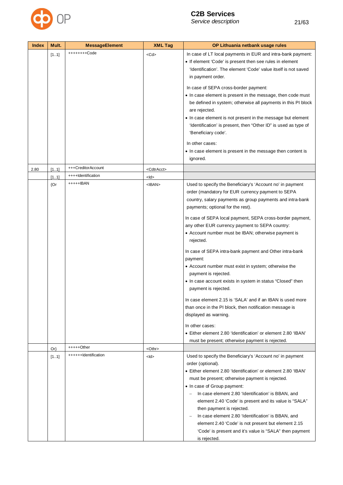

| <b>Index</b> | Mult.  | <b>MessageElement</b> | <b>XML Tag</b>        | OP Lithuania netbank usage rules                                                                                                                                                                                                                                                                                                                                                                                                                                                                                                                                                                                                                                                                                                                                                                                                                                                        |
|--------------|--------|-----------------------|-----------------------|-----------------------------------------------------------------------------------------------------------------------------------------------------------------------------------------------------------------------------------------------------------------------------------------------------------------------------------------------------------------------------------------------------------------------------------------------------------------------------------------------------------------------------------------------------------------------------------------------------------------------------------------------------------------------------------------------------------------------------------------------------------------------------------------------------------------------------------------------------------------------------------------|
|              | [11]   | ++++++++Code          | <cd></cd>             | In case of LT local payments in EUR and intra-bank payment:<br>• If element 'Code' is present then see rules in element<br>'Identification'. The element 'Code' value itself is not saved<br>in payment order.                                                                                                                                                                                                                                                                                                                                                                                                                                                                                                                                                                                                                                                                          |
|              |        |                       |                       | In case of SEPA cross-border payment:<br>• In case element is present in the message, then code must<br>be defined in system; otherwise all payments in this PI block<br>are rejected.<br>• In case element is not present in the message but element<br>'Identification' is present, then "Other ID" is used as type of<br>'Beneficiary code'.                                                                                                                                                                                                                                                                                                                                                                                                                                                                                                                                         |
|              |        |                       |                       | In other cases:<br>• In case element is present in the message then content is<br>ignored.                                                                                                                                                                                                                                                                                                                                                                                                                                                                                                                                                                                                                                                                                                                                                                                              |
| 2.80         | [11]   | +++CreditorAccount    | <cdtracct></cdtracct> |                                                                                                                                                                                                                                                                                                                                                                                                                                                                                                                                                                                                                                                                                                                                                                                                                                                                                         |
|              | [11]   | ++++Identification    | <ld></ld>             |                                                                                                                                                                                                                                                                                                                                                                                                                                                                                                                                                                                                                                                                                                                                                                                                                                                                                         |
|              | ${Or}$ | +++++IBAN             | $<$ IBAN $>$          | Used to specify the Beneficiary's 'Account no' in payment<br>order (mandatory for EUR currency payment to SEPA<br>country, salary payments as group payments and intra-bank<br>payments; optional for the rest).<br>In case of SEPA local payment, SEPA cross-border payment,<br>any other EUR currency payment to SEPA country:<br>• Account number must be IBAN; otherwise payment is<br>rejected.<br>In case of SEPA intra-bank payment and Other intra-bank<br>payment:<br>• Account number must exist in system; otherwise the<br>payment is rejected.<br>• In case account exists in system in status "Closed" then<br>payment is rejected.<br>In case element 2.15 is 'SALA' and if an IBAN is used more<br>than once in the PI block, then notification message is<br>displayed as warning.<br>In other cases:<br>• Either element 2.80 'Identification' or element 2.80 'IBAN' |
|              |        |                       |                       | must be present; otherwise payment is rejected.                                                                                                                                                                                                                                                                                                                                                                                                                                                                                                                                                                                                                                                                                                                                                                                                                                         |
|              | $Or\}$ | +++++Other            | <othr></othr>         |                                                                                                                                                                                                                                                                                                                                                                                                                                                                                                                                                                                                                                                                                                                                                                                                                                                                                         |
|              | [11]   | ++++++Identification  | <ld></ld>             | Used to specify the Beneficiary's 'Account no' in payment<br>order (optional).<br>• Either element 2.80 'Identification' or element 2.80 'IBAN'<br>must be present; otherwise payment is rejected.<br>• In case of Group payment:<br>In case element 2.80 'Identification' is BBAN, and<br>$\overline{\phantom{m}}$<br>element 2.40 'Code' is present and its value is "SALA"<br>then payment is rejected.<br>In case element 2.80 'Identification' is BBAN, and<br>element 2.40 'Code' is not present but element 2.15<br>'Code' is present and it's value is "SALA" then payment                                                                                                                                                                                                                                                                                                      |
|              |        |                       |                       | is rejected.                                                                                                                                                                                                                                                                                                                                                                                                                                                                                                                                                                                                                                                                                                                                                                                                                                                                            |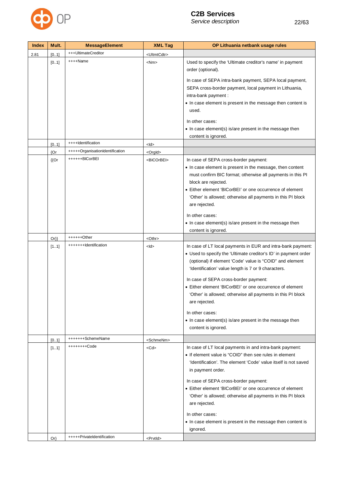

| <b>Index</b> | Mult.       | <b>MessageElement</b>           | <b>XML Tag</b>          | OP Lithuania netbank usage rules                                                                                            |
|--------------|-------------|---------------------------------|-------------------------|-----------------------------------------------------------------------------------------------------------------------------|
| 2.81         | [01]        | +++UltimateCreditor             | <ultmtcdtr></ultmtcdtr> |                                                                                                                             |
|              | [0.1]       | ++++Name                        | $<$ Nm $>$              | Used to specify the 'Ultimate creditor's name' in payment<br>order (optional).                                              |
|              |             |                                 |                         | In case of SEPA intra-bank payment, SEPA local payment,                                                                     |
|              |             |                                 |                         | SEPA cross-border payment, local payment in Lithuania,                                                                      |
|              |             |                                 |                         | intra-bank payment :                                                                                                        |
|              |             |                                 |                         | • In case element is present in the message then content is                                                                 |
|              |             |                                 |                         | used.                                                                                                                       |
|              |             |                                 |                         | In other cases:                                                                                                             |
|              |             |                                 |                         | • In case element(s) is/are present in the message then                                                                     |
|              |             |                                 |                         | content is ignored.                                                                                                         |
|              | [01]        | ++++Identification              | $<$ ld>                 |                                                                                                                             |
|              | ${Or}$      | +++++OrganisationIdentification | <orgld></orgld>         |                                                                                                                             |
|              | ${^{\{Or}}$ | ++++++BICorBEI                  | <bicorbei></bicorbei>   | In case of SEPA cross-border payment:                                                                                       |
|              |             |                                 |                         | • In case element is present in the message, then content                                                                   |
|              |             |                                 |                         | must confirm BIC format; otherwise all payments in this PI                                                                  |
|              |             |                                 |                         | block are rejected.<br>• Either element 'BICorBEI' or one occurrence of element                                             |
|              |             |                                 |                         | 'Other' is allowed; otherwise all payments in this PI block                                                                 |
|              |             |                                 |                         | are rejected.                                                                                                               |
|              |             |                                 |                         | In other cases:                                                                                                             |
|              |             |                                 |                         | • In case element(s) is/are present in the message then                                                                     |
|              |             |                                 |                         | content is ignored.                                                                                                         |
|              | $Or\}$      | ++++++Other                     | <othr></othr>           |                                                                                                                             |
|              | [11]        | +++++++Identification           | $<$ ld>                 | In case of LT local payments in EUR and intra-bank payment:                                                                 |
|              |             |                                 |                         | • Used to specify the 'Ultimate creditor's ID' in payment order<br>(optional) if element 'Code' value is "COID" and element |
|              |             |                                 |                         | 'Identification' value length is 7 or 9 characters.                                                                         |
|              |             |                                 |                         | In case of SEPA cross-border payment:                                                                                       |
|              |             |                                 |                         | • Either element 'BICorBEI' or one occurrence of element                                                                    |
|              |             |                                 |                         | 'Other' is allowed; otherwise all payments in this PI block                                                                 |
|              |             |                                 |                         | are rejected.                                                                                                               |
|              |             |                                 |                         | In other cases:                                                                                                             |
|              |             |                                 |                         | • In case element(s) is/are present in the message then                                                                     |
|              |             |                                 |                         | content is ignored.                                                                                                         |
|              | [01]        | +++++++SchemeName               | <schmenm></schmenm>     |                                                                                                                             |
|              | [11]        | ++++++++Code                    | $<$ Cd $>$              | In case of LT local payments in and intra-bank payment:                                                                     |
|              |             |                                 |                         | • If element value is "COID" then see rules in element                                                                      |
|              |             |                                 |                         | 'Identification'. The element 'Code' value itself is not saved                                                              |
|              |             |                                 |                         | in payment order.                                                                                                           |
|              |             |                                 |                         | In case of SEPA cross-border payment:                                                                                       |
|              |             |                                 |                         | • Either element 'BICorBEI' or one occurrence of element                                                                    |
|              |             |                                 |                         | 'Other' is allowed; otherwise all payments in this PI block                                                                 |
|              |             |                                 |                         | are rejected.                                                                                                               |
|              |             |                                 |                         | In other cases:                                                                                                             |
|              |             |                                 |                         | • In case element is present in the message then content is                                                                 |
|              |             |                                 |                         | ignored.                                                                                                                    |
|              | $Or\}$      | +++++PrivateIdentification      | <prvtid></prvtid>       |                                                                                                                             |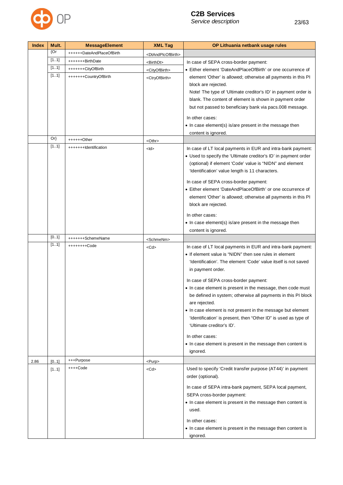

| <b>Index</b> | Mult.  | <b>MessageElement</b>     | <b>XML Tag</b>                      | OP Lithuania netbank usage rules                                |
|--------------|--------|---------------------------|-------------------------------------|-----------------------------------------------------------------|
|              | ${Or}$ | ++++++DateAndPlaceOfBirth | <dtandplcofbirth></dtandplcofbirth> |                                                                 |
|              | [11]   | +++++++BirthDate          | <birthdt></birthdt>                 | In case of SEPA cross-border payment:                           |
|              | [11]   | +++++++CityOfBirth        | <cityofbirth></cityofbirth>         | • Either element 'DateAndPlaceOfBirth' or one occurrence of     |
|              | [11]   | +++++++CountryOfBirth     | <ctryofbirth></ctryofbirth>         | element 'Other' is allowed; otherwise all payments in this PI   |
|              |        |                           |                                     | block are rejected.                                             |
|              |        |                           |                                     | Note! The type of 'Ultimate creditor's ID' in payment order is  |
|              |        |                           |                                     | blank. The content of element is shown in payment order         |
|              |        |                           |                                     | but not passed to beneficiary bank via pacs.008 message.        |
|              |        |                           |                                     | In other cases:                                                 |
|              |        |                           |                                     | • In case element(s) is/are present in the message then         |
|              |        |                           |                                     | content is ignored.                                             |
|              | $Or\}$ | ++++++Other               | <othr></othr>                       |                                                                 |
|              | [11]   | +++++++Identification     | $<$ ld $>$                          | In case of LT local payments in EUR and intra-bank payment:     |
|              |        |                           |                                     | • Used to specify the 'Ultimate creditor's ID' in payment order |
|              |        |                           |                                     | (optional) if element 'Code' value is "NIDN" and element        |
|              |        |                           |                                     | 'Identification' value length is 11 characters.                 |
|              |        |                           |                                     | In case of SEPA cross-border payment:                           |
|              |        |                           |                                     | • Either element 'DateAndPlaceOfBirth' or one occurrence of     |
|              |        |                           |                                     | element 'Other' is allowed; otherwise all payments in this PI   |
|              |        |                           |                                     | block are rejected.                                             |
|              |        |                           |                                     | In other cases:                                                 |
|              |        |                           |                                     | • In case element(s) is/are present in the message then         |
|              |        |                           |                                     | content is ignored.                                             |
|              | [01]   | +++++++SchemeName         | <schmenm></schmenm>                 |                                                                 |
|              | [11]   | ++++++++Code              | $<$ Cd $>$                          | In case of LT local payments in EUR and intra-bank payment:     |
|              |        |                           |                                     | • If element value is "NIDN" then see rules in element          |
|              |        |                           |                                     | 'Identification'. The element 'Code' value itself is not saved  |
|              |        |                           |                                     | in payment order.                                               |
|              |        |                           |                                     | In case of SEPA cross-border payment:                           |
|              |        |                           |                                     | • In case element is present in the message, then code must     |
|              |        |                           |                                     | be defined in system; otherwise all payments in this PI block   |
|              |        |                           |                                     | are rejected.                                                   |
|              |        |                           |                                     | • In case element is not present in the message but element     |
|              |        |                           |                                     | 'Identification' is present, then "Other ID" is used as type of |
|              |        |                           |                                     | 'Ultimate creditor's ID'.                                       |
|              |        |                           |                                     | In other cases:                                                 |
|              |        |                           |                                     | • In case element is present in the message then content is     |
|              |        |                           |                                     | ignored.                                                        |
| 2.86         | [0.1]  | +++Purpose                | <purp></purp>                       |                                                                 |
|              | [11]   | ++++Code                  | $<$ Cd $>$                          | Used to specify 'Credit transfer purpose (AT44)' in payment     |
|              |        |                           |                                     | order (optional).                                               |
|              |        |                           |                                     |                                                                 |
|              |        |                           |                                     | In case of SEPA intra-bank payment, SEPA local payment,         |
|              |        |                           |                                     | SEPA cross-border payment:                                      |
|              |        |                           |                                     | • In case element is present in the message then content is     |
|              |        |                           |                                     | used.                                                           |
|              |        |                           |                                     | In other cases:                                                 |
|              |        |                           |                                     | • In case element is present in the message then content is     |
|              |        |                           |                                     | ignored.                                                        |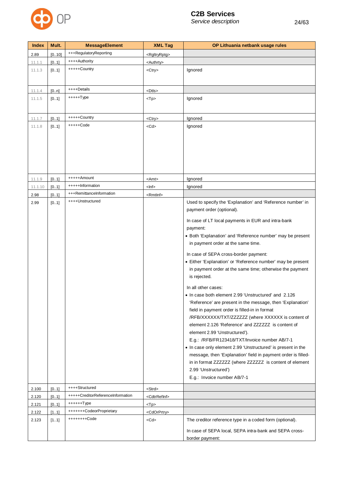

| <b>Index</b> | Mult.  | <b>MessageElement</b>             | <b>XML Tag</b>            | OP Lithuania netbank usage rules                              |
|--------------|--------|-----------------------------------|---------------------------|---------------------------------------------------------------|
| 2.89         | [0.10] | +++RegulatoryReporting            | <rgltryrptg></rgltryrptg> |                                                               |
| 11.1.1       | [0.1]  | ++++Authority                     | <authrty></authrty>       |                                                               |
| 11.1.3       | [01]   | +++++Country                      | <ctry></ctry>             | Ignored                                                       |
|              |        |                                   |                           |                                                               |
|              |        |                                   |                           |                                                               |
| 11.1.4       | [0.n]  | ++++Details                       | <dtls></dtls>             |                                                               |
| 11.1.5       | [01]   | $+++++Type$                       | $<$ Tp $>$                | Ignored                                                       |
|              |        |                                   |                           |                                                               |
| 11.1.7       | [01]   | +++++Country                      | <ctry></ctry>             | Ignored                                                       |
| 11.1.8       | [0.1]  | $++++$ Code                       | $<$ Cd $>$                | Ignored                                                       |
|              |        |                                   |                           |                                                               |
|              |        |                                   |                           |                                                               |
|              |        |                                   |                           |                                                               |
|              |        |                                   |                           |                                                               |
|              |        |                                   |                           |                                                               |
|              |        |                                   |                           |                                                               |
| 11.1.9       | [0.1]  | +++++Amount                       | <amt></amt>               | Ignored                                                       |
| 11.1.10      | [0.1]  | +++++Information                  | <lnf></lnf>               | Ignored                                                       |
| 2.98         | [01]   | +++RemittanceInformation          | <rmtlnf></rmtlnf>         |                                                               |
| 2.99         | [01]   | ++++Unstructured                  |                           | Used to specify the 'Explanation' and 'Reference number' in   |
|              |        |                                   |                           | payment order (optional).                                     |
|              |        |                                   |                           | In case of LT local payments in EUR and intra-bank            |
|              |        |                                   |                           | payment:                                                      |
|              |        |                                   |                           | • Both 'Explanation' and 'Reference number' may be present    |
|              |        |                                   |                           | in payment order at the same time.                            |
|              |        |                                   |                           |                                                               |
|              |        |                                   |                           | In case of SEPA cross-border payment:                         |
|              |        |                                   |                           | • Either 'Explanation' or 'Reference number' may be present   |
|              |        |                                   |                           | in payment order at the same time; otherwise the payment      |
|              |        |                                   |                           | is rejected.                                                  |
|              |        |                                   |                           | In all other cases:                                           |
|              |        |                                   |                           | • In case both element 2.99 'Unstructured' and 2.126          |
|              |        |                                   |                           | 'Reference' are present in the message, then 'Explanation'    |
|              |        |                                   |                           | field in payment order is filled-in in format                 |
|              |        |                                   |                           | /RFB/XXXXXX/TXT/ZZZZZZZ (where XXXXXX is content of           |
|              |        |                                   |                           | element 2.126 'Reference' and ZZZZZZZ is content of           |
|              |        |                                   |                           | element 2.99 'Unstructured').                                 |
|              |        |                                   |                           | E.g.: /RFB/FR123418/TXT/Invoice number AB/7-1                 |
|              |        |                                   |                           | • In case only element 2.99 'Unstructured' is present in the  |
|              |        |                                   |                           | message, then 'Explanation' field in payment order is filled- |
|              |        |                                   |                           | in in format ZZZZZZZ (where ZZZZZZZ is content of element     |
|              |        |                                   |                           | 2.99 'Unstructured')                                          |
|              |        |                                   |                           | E.g.: Invoice number AB/7-1                                   |
| 2.100        | [0.1]  | ++++Structured                    | <strd></strd>             |                                                               |
| 2.120        | [01]   | +++++CreditorReferenceInformation | <cdtrrefinf></cdtrrefinf> |                                                               |
| 2.121        | [01]   | ++++++Type                        | $<$ Tp $>$                |                                                               |
| 2.122        | [11]   | +++++++CodeorProprietary          | <cdorprtry></cdorprtry>   |                                                               |
| 2.123        | [11]   | ++++++++Code                      | $<$ Cd $>$                | The creditor reference type in a coded form (optional).       |
|              |        |                                   |                           | In case of SEPA local, SEPA intra-bank and SEPA cross-        |
|              |        |                                   |                           | border payment:                                               |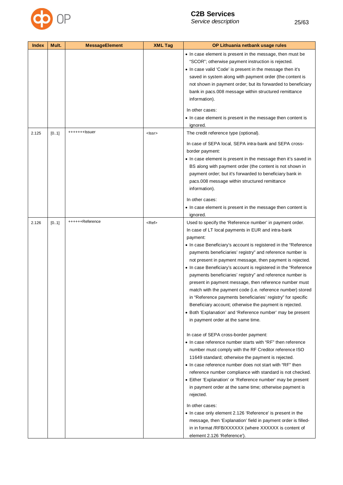

| <b>Index</b> | Mult. | <b>MessageElement</b> | <b>XML Tag</b> | OP Lithuania netbank usage rules                                                                                                                                                                                                                                                                                                                                                                                                                                                                                                                                                                                                                                                                                                                                                                                                                                                                                                                                                                                                                                                                                                                                                                                                                                                                                                                                                                                                                                                                                                                            |
|--------------|-------|-----------------------|----------------|-------------------------------------------------------------------------------------------------------------------------------------------------------------------------------------------------------------------------------------------------------------------------------------------------------------------------------------------------------------------------------------------------------------------------------------------------------------------------------------------------------------------------------------------------------------------------------------------------------------------------------------------------------------------------------------------------------------------------------------------------------------------------------------------------------------------------------------------------------------------------------------------------------------------------------------------------------------------------------------------------------------------------------------------------------------------------------------------------------------------------------------------------------------------------------------------------------------------------------------------------------------------------------------------------------------------------------------------------------------------------------------------------------------------------------------------------------------------------------------------------------------------------------------------------------------|
|              |       |                       |                | • In case element is present in the message, then must be<br>"SCOR"; otherwise payment instruction is rejected.<br>. In case valid 'Code' is present in the message then it's<br>saved in system along with payment order (the content is<br>not shown in payment order; but its forwarded to beneficiary<br>bank in pacs.008 message within structured remittance<br>information).<br>In other cases:                                                                                                                                                                                                                                                                                                                                                                                                                                                                                                                                                                                                                                                                                                                                                                                                                                                                                                                                                                                                                                                                                                                                                      |
|              |       |                       |                | • In case element is present in the message then content is<br>ignored.                                                                                                                                                                                                                                                                                                                                                                                                                                                                                                                                                                                                                                                                                                                                                                                                                                                                                                                                                                                                                                                                                                                                                                                                                                                                                                                                                                                                                                                                                     |
| 2.125        | [01]  | +++++++lssuer         | <lssr></lssr>  | The credit reference type (optional).<br>In case of SEPA local, SEPA intra-bank and SEPA cross-<br>border payment:<br>• In case element is present in the message then it's saved in<br>BS along with payment order (the content is not shown in<br>payment order; but it's forwarded to beneficiary bank in<br>pacs.008 message within structured remittance<br>information).<br>In other cases:<br>• In case element is present in the message then content is                                                                                                                                                                                                                                                                                                                                                                                                                                                                                                                                                                                                                                                                                                                                                                                                                                                                                                                                                                                                                                                                                            |
| 2.126        | [01]  | ++++++Reference       | <ref></ref>    | ignored.<br>Used to specify the 'Reference number' in payment order.<br>In case of LT local payments in EUR and intra-bank<br>payment:<br>• In case Beneficiary's account is registered in the "Reference"<br>payments beneficiaries' registry" and reference number is<br>not present in payment message, then payment is rejected.<br>• In case Beneficiary's account is registered in the "Reference"<br>payments beneficiaries' registry" and reference number is<br>present in payment message, then reference number must<br>match with the payment code (i.e. reference number) stored<br>in "Reference payments beneficiaries' registry" for specific<br>Beneficiary account; otherwise the payment is rejected.<br>• Both 'Explanation' and 'Reference number' may be present<br>in payment order at the same time.<br>In case of SEPA cross-border payment:<br>• In case reference number starts with "RF" then reference<br>number must comply with the RF Creditor reference ISO<br>11649 standard; otherwise the payment is rejected.<br>• In case reference number does not start with "RF" then<br>reference number compliance with standard is not checked.<br>• Either 'Explanation' or 'Reference number' may be present<br>in payment order at the same time; otherwise payment is<br>rejected.<br>In other cases:<br>• In case only element 2.126 'Reference' is present in the<br>message, then 'Explanation' field in payment order is filled-<br>in in format /RFB/XXXXXX (where XXXXXX is content of<br>element 2.126 'Reference'). |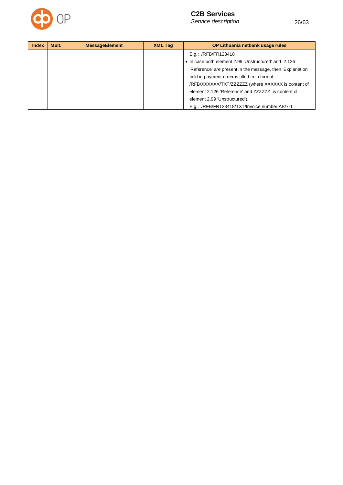

| <b>Index</b> | Mult. | <b>MessageElement</b> | <b>XML Tag</b> | OP Lithuania netbank usage rules                           |
|--------------|-------|-----------------------|----------------|------------------------------------------------------------|
|              |       |                       |                | E.g.: /RFB/FR123418                                        |
|              |       |                       |                | • In case both element 2.99 'Unstructured' and 2.126       |
|              |       |                       |                | 'Reference' are present in the message, then 'Explanation' |
|              |       |                       |                | field in payment order is filled-in in format              |
|              |       |                       |                | /RFB/XXXXXX/TXT/ZZZZZZZ (where XXXXXX is content of        |
|              |       |                       |                | element 2.126 'Reference' and ZZZZZZ is content of         |
|              |       |                       |                | element 2.99 'Unstructured').                              |
|              |       |                       |                | E.g.: /RFB/FR123418/TXT/Invoice number AB/7-1              |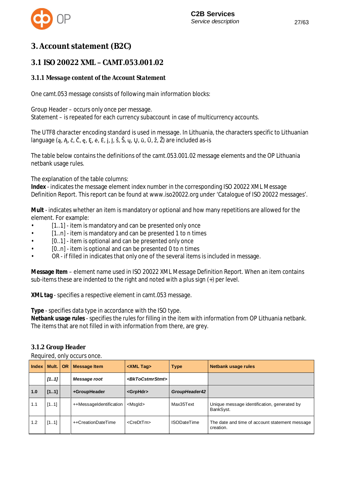

# **3. Account statement (B2C)**

## **3.1 ISO 20022 XMLȂCAMT.053.001.02**

### *3.1.1 Message content of the Account Statement*

One camt.053 message consists of following main information blocks:

Group Header – occurs only once per message. Statement – is repeated for each currency subaccount in case of multicurrency accounts.

The UTF8 character encoding standard is used in message. In Lithuania, the characters specific to Lithuanian language  $(a, A, \check{c}, \check{c}, e, E, \dot{e}, \dot{E}, J, J, \check{S}, \check{S}, u, U, \bar{u}, \bar{U}, \check{z}, \check{Z})$  are included as-is

The table below contains the definitions of the camt.053.001.02 message elements and the OP Lithuania netbank usage rules.

The explanation of the table columns:

**Index** - indicates the message element index number in the corresponding ISO 20022 XML Message Definition Report. This report can be found at www.iso20022.org under 'Catalogue of ISO 20022 messages'.

**Mult** - indicates whether an item is mandatory or optional and how many repetitions are allowed for the element. For example:

- [1..1] item is mandatory and can be presented only once
- $[1..n]$  item is mandatory and can be presented 1 to n times
- [0..1] item is optional and can be presented only once
- [0..n] item is optional and can be presented 0 to n times
- OR if filled in indicates that only one of the several items is included in message.

**Message Item** – element name used in ISO 20022 XML Message Definition Report. When an item contains sub-items these are indented to the right and noted with a plus sign (+) per level.

**XML tag** - specifies a respective element in camt.053 message.

**Type** - specifies data type in accordance with the ISO type.

**Netbank usage rules** - specifies the rules for filling in the item with information from OP Lithuania netbank. The items that are not filled in with information from there, are grey.

#### *3.1.2 Group Header*

Required, only occurs once.

| <b>Index</b> | Mult. | <b>OR</b> | <b>Message Item</b>     | <xml tag=""></xml>              | <b>Type</b>        | <b>Netbank usage rules</b>                                  |
|--------------|-------|-----------|-------------------------|---------------------------------|--------------------|-------------------------------------------------------------|
|              | [11]  |           | Message root            | <bktocstmrstmt></bktocstmrstmt> |                    |                                                             |
| 1.0          | [11]  |           | +GroupHeader            | <grphdr></grphdr>               | GroupHeader42      |                                                             |
| 1.1          | [11]  |           | ++MessageIdentification | <msgld></msgld>                 | Max35Text          | Unique message identification, generated by<br>BankSyst.    |
| 1.2          | [11]  |           | ++CreationDateTime      | <credttm></credttm>             | <b>ISODateTime</b> | The date and time of account statement message<br>creation. |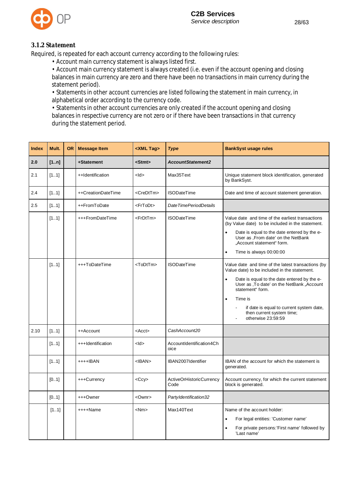

#### *3.1.2 Statement*

Required, is repeated for each account currency according to the following rules:

• Account main currency statement is always listed first.

• Account main currency statement is always created (i.e. even if the account opening and closing balances in main currency are zero and there have been no transactions in main currency during the statement period).

• Statements in other account currencies are listed following the statement in main currency, in alphabetical order according to the currency code.

• Statements in other account currencies are only created if the account opening and closing balances in respective currency are not zero or if there have been transactions in that currency during the statement period.

| <b>Index</b> | Mult. | <b>OR</b> | <b>Message Item</b> | <xml tag=""></xml>  | <b>Type</b>                      | <b>BankSyst usage rules</b>                                                                                                  |
|--------------|-------|-----------|---------------------|---------------------|----------------------------------|------------------------------------------------------------------------------------------------------------------------------|
| 2.0          | [1n]  |           | +Statement          | <stmt></stmt>       | <b>AccountStatement2</b>         |                                                                                                                              |
| 2.1          | [11]  |           | ++Identification    | <ld></ld>           | Max35Text                        | Unique statement block identification, generated<br>by BankSyst.                                                             |
| 2.4          | [11]  |           | ++CreationDateTime  | <credttm></credttm> | <b>ISODateTime</b>               | Date and time of account statement generation.                                                                               |
| 2.5          | [11]  |           | ++FromToDate        | <frtodt></frtodt>   | DateTimePeriodDetails            |                                                                                                                              |
|              | [11]  |           | +++FromDateTime     | <frdttm></frdttm>   | <b>ISODateTime</b>               | Value date and time of the earliest transactions<br>(by Value date) to be included in the statement.                         |
|              |       |           |                     |                     |                                  | Date is equal to the date entered by the e-<br>$\bullet$<br>User as , From date' on the NetBank<br>"Account statement" form. |
|              |       |           |                     |                     |                                  | Time is always 00:00:00<br>$\bullet$                                                                                         |
|              | [11]  |           | +++ToDateTime       | <todttm></todttm>   | <b>ISODateTime</b>               | Value date and time of the latest transactions (by<br>Value date) to be included in the statement.                           |
|              |       |           |                     |                     |                                  | Date is equal to the date entered by the e-<br>$\bullet$<br>User as , To date' on the NetBank "Account<br>statement" form.   |
|              |       |           |                     |                     |                                  | Time is<br>$\bullet$                                                                                                         |
|              |       |           |                     |                     |                                  | if date is equal to current system date,<br>then current system time;<br>otherwise 23:59:59                                  |
| 2.10         | [11]  |           | ++Account           | $<$ Acct $>$        | CashAccount20                    |                                                                                                                              |
|              | [11]  |           | +++Identification   | $<$ ld>             | AccountIdentification4Ch<br>oice |                                                                                                                              |
|              | [11]  |           | $+++$ IBAN          | $<$ IBAN $>$        | IBAN2007Identifier               | IBAN of the account for which the statement is<br>generated.                                                                 |
|              | [01]  |           | +++Currency         | <ccy></ccy>         | ActiveOrHistoricCurrency<br>Code | Account currency, for which the current statement<br>block is generated.                                                     |
|              | [01]  |           | +++Owner            | <ownr></ownr>       | PartyIdentification32            |                                                                                                                              |
|              | [11]  |           | ++++Name            | <nm></nm>           | Max140Text                       | Name of the account holder:                                                                                                  |
|              |       |           |                     |                     |                                  | For legal entities: 'Customer name'<br>$\bullet$                                                                             |
|              |       |           |                     |                     |                                  | For private persons:'First name' followed by<br>'Last name'                                                                  |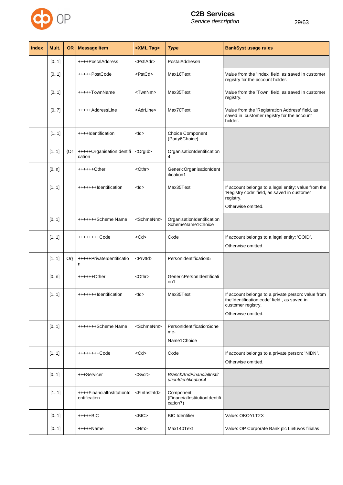

| <b>Index</b> | Mult. | <b>OR</b> | <b>Message Item</b>                        | <xml tag=""></xml>        | <b>Type</b>                                             | <b>BankSyst usage rules</b>                                                                                                                   |
|--------------|-------|-----------|--------------------------------------------|---------------------------|---------------------------------------------------------|-----------------------------------------------------------------------------------------------------------------------------------------------|
|              | [01]  |           | ++++PostalAddress                          | <pstladr></pstladr>       | PostalAddress6                                          |                                                                                                                                               |
|              | [01]  |           | +++++PostCode                              | <pstcd></pstcd>           | Max16Text                                               | Value from the 'Index' field, as saved in customer<br>registry for the account holder.                                                        |
|              | [01]  |           | +++++TownName                              | <twnnm></twnnm>           | Max35Text                                               | Value from the 'Town' field, as saved in customer<br>registry.                                                                                |
|              | [07]  |           | +++++AddressLine                           | <adrline></adrline>       | Max70Text                                               | Value from the 'Registration Address' field, as<br>saved in customer registry for the account<br>holder.                                      |
|              | [11]  |           | ++++Identification                         | $<$ ld $>$                | Choice Component<br>(Party6Choice)                      |                                                                                                                                               |
|              | [11]  | ${Or}$    | +++++OrganisationIdentifi<br>cation        | <orgld></orgld>           | OrganisationIdentification<br>4                         |                                                                                                                                               |
|              | [0n]  |           | $+++++Other$                               | $<$ Othr $>$              | GenericOrganisationIdent<br>ification1                  |                                                                                                                                               |
|              | [11]  |           | +++++++Identification                      | $<$ ld>                   | Max35Text                                               | If account belongs to a legal entity: value from the<br>'Registry code' field, as saved in customer<br>registry.<br>Otherwise omitted.        |
|              | [01]  |           | +++++++Scheme Name                         | <schmenm></schmenm>       | OrganisationIdentification<br>SchemeName1Choice         |                                                                                                                                               |
|              | [11]  |           | ++++++++Code                               | $<$ Cd $>$                | Code                                                    | If account belongs to a legal entity: 'COID'.<br>Otherwise omitted.                                                                           |
|              | [11]  | $Or\}$    | +++++PrivateIdentificatio<br>n             | <prvtid></prvtid>         | PersonIdentification5                                   |                                                                                                                                               |
|              | [0n]  |           | $+++++Other$                               | <othr></othr>             | GenericPersonIdentificati<br>on1                        |                                                                                                                                               |
|              | [11]  |           | +++++++Identification                      | <ld></ld>                 | Max35Text                                               | If account belongs to a private person: value from<br>the'Identification code' field, as saved in<br>customer registry.<br>Otherwise omitted. |
|              | [01]  |           | +++++++Scheme Name                         | <schmenm></schmenm>       | PersonIdentificationSche<br>me-<br>Name1 Choice         |                                                                                                                                               |
|              | [11]  |           | ++++++++Code                               | $<$ Cd $>$                | Code                                                    | If account belongs to a private person: 'NIDN'.<br>Otherwise omitted.                                                                         |
|              | [01]  |           | +++Servicer                                | $<$ Svcr $>$              | <b>BranchAndFinancialInstit</b><br>utionIdentification4 |                                                                                                                                               |
|              | [11]  |           | ++++FinancialInstitutionId<br>entification | <fininstnid></fininstnid> | Component<br>(FinancialInstitutionIdentifi<br>cation7)  |                                                                                                                                               |
|              | [01]  |           | $++++-BIC$                                 | $<$ BIC $>$               | <b>BIC</b> Identifier                                   | Value: OKOYLT2X                                                                                                                               |
|              | [01]  |           | $++++Name$                                 | $<$ Nm $>$                | Max140Text                                              | Value: OP Corporate Bank plc Lietuvos filialas                                                                                                |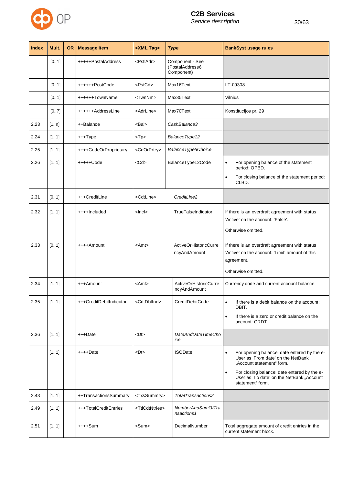

| <b>Index</b> | Mult. | <b>OR</b> | <b>Message Item</b>     | <xml tag=""></xml>            | <b>Type</b>                                      | <b>BankSyst usage rules</b>                                                                                                                                                                                                                              |
|--------------|-------|-----------|-------------------------|-------------------------------|--------------------------------------------------|----------------------------------------------------------------------------------------------------------------------------------------------------------------------------------------------------------------------------------------------------------|
|              | [01]  |           | +++++PostalAddress      | <pstladr></pstladr>           | Component - See<br>(PostalAddress6<br>Component) |                                                                                                                                                                                                                                                          |
|              | [01]  |           | ++++++PostCode          | <pstcd></pstcd>               | Max16Text                                        | LT-09308                                                                                                                                                                                                                                                 |
|              | [01]  |           | ++++++TownName          | <twnnm></twnnm>               | Max35Text                                        | Vilnius                                                                                                                                                                                                                                                  |
|              | [07]  |           | ++++++AddressLine       | <adrline></adrline>           | Max70Text                                        | Konstitucijos pr. 29                                                                                                                                                                                                                                     |
| 2.23         | [1n]  |           | ++Balance               | <bal></bal>                   | CashBalance3                                     |                                                                                                                                                                                                                                                          |
| 2.24         | [11]  |           | +++Type                 | $<$ Tp $>$                    | BalanceType12                                    |                                                                                                                                                                                                                                                          |
| 2.25         | [11]  |           | ++++CodeOrProprietary   | <cdorprtry></cdorprtry>       | BalanceType5Choice                               |                                                                                                                                                                                                                                                          |
| 2.26         | [11]  |           | $++++$ Code             | $<$ Cd $>$                    | BalanceType12Code                                | For opening balance of the statement<br>$\bullet$<br>period: OPBD.<br>For closing balance of the statement period:<br>$\bullet$<br>CLBD.                                                                                                                 |
| 2.31         | [01]  |           | +++CreditLine           | <cdtline></cdtline>           | CreditLine2                                      |                                                                                                                                                                                                                                                          |
| 2.32         | [11]  |           | ++++Included            | <lncl></lncl>                 | TrueFalseIndicator                               | If there is an overdraft agreement with status<br>'Active' on the account: 'False'.<br>Otherwise omitted.                                                                                                                                                |
| 2.33         | [01]  |           | ++++Amount              | <amt></amt>                   | ActiveOrHistoricCurre<br>ncyAndAmount            | If there is an overdraft agreement with status<br>'Active' on the account: 'Limit' amount of this<br>agreement.<br>Otherwise omitted.                                                                                                                    |
| 2.34         | [11]  |           | +++Amount               | <amt></amt>                   | ActiveOrHistoricCurre<br>ncyAndAmount            | Currency code and current account balance.                                                                                                                                                                                                               |
| 2.35         | [11]  |           | +++CreditDebitIndicator | <cdtdbtind></cdtdbtind>       | CreditDebitCode                                  | If there is a debit balance on the account:<br>DBIT.<br>If there is a zero or credit balance on the<br>$\bullet$<br>account: CRDT.                                                                                                                       |
| 2.36         | [11]  |           | +++Date                 | <dt></dt>                     | DateAndDateTimeCho<br>ice                        |                                                                                                                                                                                                                                                          |
|              | [11]  |           | ++++Date                | <dt></dt>                     | <b>ISODate</b>                                   | For opening balance: date entered by the e-<br>$\bullet$<br>User as 'From date' on the NetBank<br>"Account statement" form.<br>For closing balance: date entered by the e-<br>$\bullet$<br>User as 'To date' on the NetBank "Account<br>statement" form. |
| 2.43         | [11]  |           | ++TransactionsSummary   | <txssummry></txssummry>       | TotalTransactions2                               |                                                                                                                                                                                                                                                          |
| 2.49         | [11]  |           | +++TotalCreditEntries   | <ttlcdtntries></ttlcdtntries> | NumberAndSumOfTra<br>nsactions1                  |                                                                                                                                                                                                                                                          |
| 2.51         | [11]  |           | ++++Sum                 | <sum></sum>                   | DecimalNumber                                    | Total aggregate amount of credit entries in the<br>current statement block.                                                                                                                                                                              |
|              |       |           |                         |                               |                                                  |                                                                                                                                                                                                                                                          |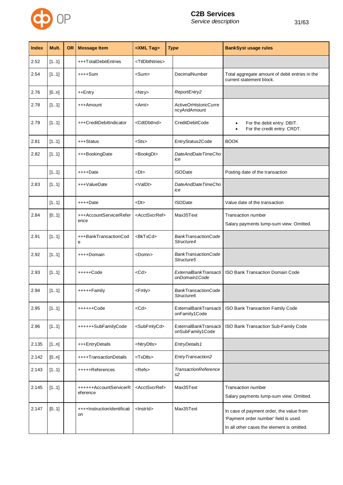

| <b>Index</b> | Mult. | <b>OR</b> | <b>Message Item</b>                | <xml tag=""></xml>            | <b>Type</b>                                          | <b>BankSyst usage rules</b>                                                                                                     |
|--------------|-------|-----------|------------------------------------|-------------------------------|------------------------------------------------------|---------------------------------------------------------------------------------------------------------------------------------|
| 2.52         | [11]  |           | +++TotalDebitEntries               | <ttldbtntries></ttldbtntries> |                                                      |                                                                                                                                 |
| 2.54         | [11]  |           | ++++Sum                            | <sum></sum>                   | DecimalNumber                                        | Total aggregate amount of debit entries in the<br>current statement block.                                                      |
| 2.76         | [0n]  |           | ++Entry                            | <ntry></ntry>                 | ReportEntry2                                         |                                                                                                                                 |
| 2.78         | [11]  |           | +++Amount                          | <amt></amt>                   | <b>ActiveOrHistoricCurre</b><br>ncyAndAmount         |                                                                                                                                 |
| 2.79         | [11]  |           | +++CreditDebitIndicator            | <cdtdbtind></cdtdbtind>       | CreditDebitCode                                      | For the debit entry: DBIT.<br>$\bullet$<br>For the credit entry: CRDT.                                                          |
| 2.81         | [11]  |           | +++Status                          | <sts></sts>                   | EntryStatus2Code                                     | <b>BOOK</b>                                                                                                                     |
| 2.82         | [11]  |           | +++BookingDate                     | <bookgdt></bookgdt>           | DateAndDateTimeCho<br>ice                            |                                                                                                                                 |
|              | [11]  |           | ++++Date                           | <dt></dt>                     | <b>ISODate</b>                                       | Posting date of the transaction                                                                                                 |
| 2.83         | [11]  |           | +++ValueDate                       | <valdt></valdt>               | DateAndDateTimeCho<br>ice                            |                                                                                                                                 |
|              | [11]  |           | ++++Date                           | <dt></dt>                     | <b>ISODate</b>                                       | Value date of the transaction                                                                                                   |
| 2.84         | [01]  |           | +++AccountServicerRefer<br>ence    | <acctsvcrref></acctsvcrref>   | Max35Text                                            | Transaction number<br>Salary payments lump-sum view: Omitted.                                                                   |
| 2.91         | [11]  |           | +++BankTransactionCod<br>е         | <bktxcd></bktxcd>             | <b>BankTransactionCode</b><br>Structure4             |                                                                                                                                 |
| 2.92         | [11]  |           | ++++Domain                         | <domn></domn>                 | <b>BankTransactionCode</b><br>Structure5             |                                                                                                                                 |
| 2.93         | [11]  |           | +++++Code                          | $<$ Cd $>$                    | <b>ExternalBankTransacti</b><br>onDomain1Code        | <b>ISO Bank Transaction Domain Code</b>                                                                                         |
| 2.94         | [11]  |           | +++++Family                        | <fmly></fmly>                 | <b>BankTransactionCode</b><br>Structure <sub>6</sub> |                                                                                                                                 |
| 2.95         | [11]  |           | $+++++Code$                        | $<$ Cd $>$                    | ExternalBankTransacti<br>onFamily1Code               | ISO Bank Transaction Family Code                                                                                                |
| 2.96         | [11]  |           | ++++++SubFamilyCode                | <subfmlycd></subfmlycd>       | ExternalBankTransacti<br>onSubFamily1Code            | ISO Bank Transaction Sub-Family Code                                                                                            |
| 2.135        | [1n]  |           | +++EntryDetails                    | <ntrydtls></ntrydtls>         | EntryDetails1                                        |                                                                                                                                 |
| 2.142        | [0n]  |           | ++++TransactionDetails             | <txdtls></txdtls>             | EntryTransaction2                                    |                                                                                                                                 |
| 2.143        | [11]  |           | +++++References                    | <refs></refs>                 | <b>TransactionReference</b><br>s2                    |                                                                                                                                 |
| 2.145        | [11]  |           | ++++++AccountServicerR<br>eference | <acctsvcrref></acctsvcrref>   | Max35Text                                            | Transaction number<br>Salary payments lump-sum view: Omitted.                                                                   |
| 2.147        | [01]  |           | ++++InstructionIdentificati<br>on  | <lnstrld></lnstrld>           | Max35Text                                            | In case of payment order, the value from<br>'Payment order number' field is used.<br>In all other cases the element is omitted. |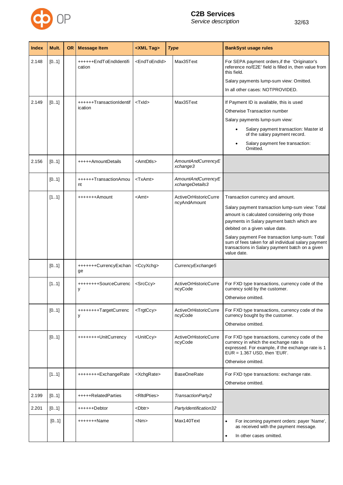

| <b>Index</b> | Mult. | <b>OR</b> | <b>Message Item</b>                 | <xml tag=""></xml>        | <b>Type</b>                             | <b>BankSyst usage rules</b>                                                                                                                                                                                                                                                                                                                                                                   |
|--------------|-------|-----------|-------------------------------------|---------------------------|-----------------------------------------|-----------------------------------------------------------------------------------------------------------------------------------------------------------------------------------------------------------------------------------------------------------------------------------------------------------------------------------------------------------------------------------------------|
| 2.148        | [01]  |           | ++++++EndToEndIdentifi<br>cation    | <endtoendid></endtoendid> | Max35Text                               | For SEPA payment orders, if the 'Originator's<br>reference no/E2E' field is filled in, then value from<br>this field.<br>Salary payments lump-sum view: Omitted.<br>In all other cases: NOTPROVIDED.                                                                                                                                                                                          |
| 2.149        | [01]  |           | ++++++TransactionIdentif<br>ication | <txid></txid>             | Max35Text                               | If Payment ID is available, this is used<br>Otherwise Transaction number<br>Salary payments lump-sum view:<br>Salary payment transaction: Master id<br>$\bullet$<br>of the salary payment record.<br>Salary payment fee transaction:<br>Omitted.                                                                                                                                              |
| 2.156        | [01]  |           | +++++AmountDetails                  | <amtdtls></amtdtls>       | AmountAndCurrencyE<br>xchange3          |                                                                                                                                                                                                                                                                                                                                                                                               |
|              | [01]  |           | ++++++TransactionAmou<br>nt         | <txamt></txamt>           | AmountAndCurrencyE<br>xchangeDetails3   |                                                                                                                                                                                                                                                                                                                                                                                               |
|              | [11]  |           | +++++++Amount                       | $<$ Amt $>$               | ActiveOrHistoricCurre<br>ncyAndAmount   | Transaction currency and amount.<br>Salary payment transaction lump-sum view: Total<br>amount is calculated considering only those<br>payments in Salary payment batch which are<br>debited on a given value date.<br>Salary payment Fee transaction lump-sum: Total<br>sum of fees taken for all individual salary payment<br>transactions in Salary payment batch on a given<br>value date. |
|              | [01]  |           | +++++++CurrencyExchan<br>ge         | <ccyxchg></ccyxchg>       | CurrencyExchange5                       |                                                                                                                                                                                                                                                                                                                                                                                               |
|              | [11]  |           | ++++++++SourceCurrenc<br>у          | <srcccv></srcccv>         | <b>ActiveOrHistoricCurre</b><br>ncyCode | For FXD type transactions, currency code of the<br>currency sold by the customer.<br>Otherwise omitted.                                                                                                                                                                                                                                                                                       |
|              | [01]  |           | +++++++++TargetCurrenc<br>у         | <trgtccy></trgtccy>       | ActiveOrHistoricCurre<br>ncyCode        | For FXD type transactions, currency code of the<br>currency bought by the customer.<br>Otherwise omitted.                                                                                                                                                                                                                                                                                     |
|              | [01]  |           | ++++++++UnitCurrency                | <unitccy></unitccy>       | ActiveOrHistoricCurre<br>ncyCode        | For FXD type transactions, currency code of the<br>currency in which the exchange rate is<br>expressed. For example, if the exchange rate is 1<br>$EUR = 1.367$ USD, then 'EUR'.<br>Otherwise omitted.                                                                                                                                                                                        |
|              | [11]  |           | ++++++++ExchangeRate                | <xchgrate></xchgrate>     | <b>BaseOneRate</b>                      | For FXD type transactions: exchange rate.<br>Otherwise omitted.                                                                                                                                                                                                                                                                                                                               |
| 2.199        | [01]  |           | +++++RelatedParties                 | <rltdpties></rltdpties>   | TransactionParty2                       |                                                                                                                                                                                                                                                                                                                                                                                               |
| 2.201        | [01]  |           | ++++++Debtor                        | <dbtr></dbtr>             | Party Identification32                  |                                                                                                                                                                                                                                                                                                                                                                                               |
|              | [01]  |           | +++++++Name                         | $<$ Nm $>$                | Max140Text                              | For incoming payment orders: payer 'Name',<br>$\bullet$<br>as received with the payment message.<br>In other cases omitted.<br>$\bullet$                                                                                                                                                                                                                                                      |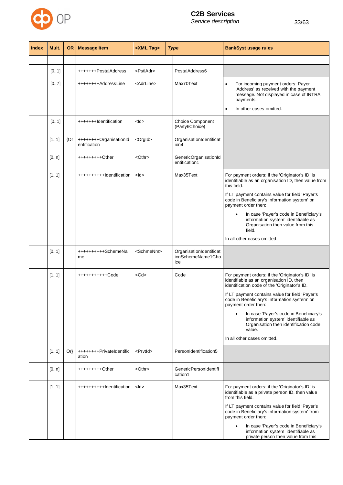

|--|

| <b>Index</b> | Mult. | <b>OR</b> | <b>Message Item</b>                    | <xml tag=""></xml>  | <b>Type</b>                                         | <b>BankSyst usage rules</b>                                                                                                                                                                                                                                                                                                                                                                                                                           |
|--------------|-------|-----------|----------------------------------------|---------------------|-----------------------------------------------------|-------------------------------------------------------------------------------------------------------------------------------------------------------------------------------------------------------------------------------------------------------------------------------------------------------------------------------------------------------------------------------------------------------------------------------------------------------|
|              |       |           |                                        |                     |                                                     |                                                                                                                                                                                                                                                                                                                                                                                                                                                       |
|              | [01]  |           | +++++++PostalAddress                   | <pstladr></pstladr> | PostalAddress6                                      |                                                                                                                                                                                                                                                                                                                                                                                                                                                       |
|              | [07]  |           | ++++++++AddressLine                    | <adrline></adrline> | Max70Text                                           | For incoming payment orders: Payer<br>$\bullet$<br>'Address' as received with the payment<br>message. Not displayed in case of INTRA<br>payments.<br>In other cases omitted.<br>٠                                                                                                                                                                                                                                                                     |
|              | [01]  |           | +++++++Identification                  | <ld></ld>           | Choice Component<br>(Party6Choice)                  |                                                                                                                                                                                                                                                                                                                                                                                                                                                       |
|              | [11]  | {Or       | ++++++++OrganisationId<br>entification | <orgld></orgld>     | OrganisationIdentificat<br>ion4                     |                                                                                                                                                                                                                                                                                                                                                                                                                                                       |
|              | [0n]  |           | +++++++++Other                         | <othr></othr>       | GenericOrganisationId<br>entification1              |                                                                                                                                                                                                                                                                                                                                                                                                                                                       |
|              | [11]  |           | +++++++++++Identification              | <ld></ld>           | Max35Text                                           | For payment orders: if the 'Originator's ID' is<br>identifiable as an organisation ID, then value from<br>this field.<br>If LT payment contains value for field 'Payer's<br>code in Beneficiary's information system' on<br>payment order then:<br>In case 'Payer's code in Beneficiary's<br>$\bullet$<br>information system' identifiable as<br>Organisation then value from this<br>field.<br>In all other cases omitted.                           |
|              | [01]  |           | ++++++++++SchemeNa<br>me               | <schmenm></schmenm> | OrganisationIdentificat<br>ionSchemeName1Cho<br>ice |                                                                                                                                                                                                                                                                                                                                                                                                                                                       |
|              | [11]  |           | +++++++++++Code                        | $<$ Cd $>$          | Code                                                | For payment orders: if the 'Originator's ID' is<br>identifiable as an organisation ID, then<br>identification code of the 'Originator's ID.<br>If LT payment contains value for field 'Payer's<br>code in Beneficiary's information system' on<br>payment order then:<br>In case 'Payer's code in Beneficiary's<br>$\bullet$<br>information system' identifiable as<br>Organisation then identification code<br>value.<br>In all other cases omitted. |
|              | [11]  | $Or\}$    | ++++++++PrivateIdentific<br>ation      | <prvtid></prvtid>   | PersonIdentification5                               |                                                                                                                                                                                                                                                                                                                                                                                                                                                       |
|              | [0n]  |           | +++++++++Other                         | <othr></othr>       | GenericPersonIdentifi<br>cation1                    |                                                                                                                                                                                                                                                                                                                                                                                                                                                       |
|              | [11]  |           | +++++++++++Identification              | <ld></ld>           | Max35Text                                           | For payment orders: if the 'Originator's ID' is<br>identifiable as a private person ID, then value<br>from this field.<br>If LT payment contains value for field 'Payer's<br>code in Beneficiary's information system' from<br>payment order then:<br>In case 'Payer's code in Beneficiary's<br>$\bullet$<br>information system' identifiable as<br>private person then value from this                                                               |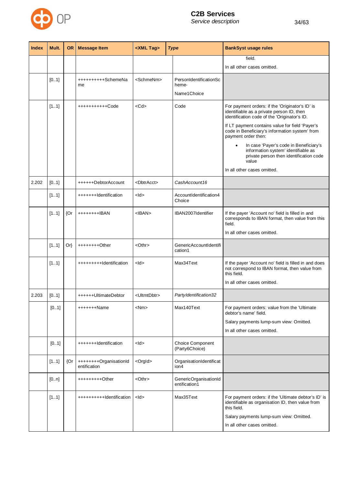

| <b>Index</b> | Mult. | <b>OR</b> | <b>Message Item</b>                    | <xml tag=""></xml>      | <b>Type</b>                                     | <b>BankSyst usage rules</b>                                                                                                                                                                                                                                                                                                                                                                                                                       |
|--------------|-------|-----------|----------------------------------------|-------------------------|-------------------------------------------------|---------------------------------------------------------------------------------------------------------------------------------------------------------------------------------------------------------------------------------------------------------------------------------------------------------------------------------------------------------------------------------------------------------------------------------------------------|
|              |       |           |                                        |                         |                                                 | field.<br>In all other cases omitted.                                                                                                                                                                                                                                                                                                                                                                                                             |
|              | [01]  |           | ++++++++++SchemeNa<br>me               | <schmenm></schmenm>     | PersonIdentificationSc<br>heme-<br>Name1 Choice |                                                                                                                                                                                                                                                                                                                                                                                                                                                   |
|              | [11]  |           | +++++++++++Code                        | $<$ Cd $>$              | Code                                            | For payment orders: if the 'Originator's ID' is<br>identifiable as a private person ID, then<br>identification code of the 'Originator's ID.<br>If LT payment contains value for field 'Payer's<br>code in Beneficiary's information system' from<br>payment order then:<br>In case 'Payer's code in Beneficiary's<br>٠<br>information system' identifiable as<br>private person then identification code<br>value<br>In all other cases omitted. |
| 2.202        | [01]  |           | ++++++DebtorAccount                    | <dbtracct></dbtracct>   | CashAccount16                                   |                                                                                                                                                                                                                                                                                                                                                                                                                                                   |
|              | [11]  |           | +++++++Identification                  | $<$ ld $>$              | AccountIdentification4<br>Choice                |                                                                                                                                                                                                                                                                                                                                                                                                                                                   |
|              | [11]  | {Or       | ++++++++IBAN                           | $<$ IBAN $>$            | IBAN2007Identifier                              | If the payer 'Account no' field is filled in and<br>corresponds to IBAN format, then value from this<br>field.<br>In all other cases omitted.                                                                                                                                                                                                                                                                                                     |
|              | [11]  | $Or\}$    | $***++++O$ ther                        | $<$ Othr $>$            | <b>GenericAccountIdentifi</b><br>cation1        |                                                                                                                                                                                                                                                                                                                                                                                                                                                   |
|              | [11]  |           | ++++++++++dentification                | $<$ ld $>$              | Max34Text                                       | If the payer 'Account no' field is filled in and does<br>not correspond to IBAN format, then value from<br>this field.<br>In all other cases omitted.                                                                                                                                                                                                                                                                                             |
| 2.203        | [01]  |           | ++++++UltimateDebtor                   | <ultmtdbtr></ultmtdbtr> | PartyIdentification32                           |                                                                                                                                                                                                                                                                                                                                                                                                                                                   |
|              | [01]  |           | +++++++Name                            | <nm></nm>               | Max140Text                                      | For payment orders: value from the 'Ultimate<br>debtor's name' field.<br>Salary payments lump-sum view: Omitted.<br>In all other cases omitted.                                                                                                                                                                                                                                                                                                   |
|              | [01]  |           | +++++++Identification                  | $<$ ld $>$              | Choice Component<br>(Party6Choice)              |                                                                                                                                                                                                                                                                                                                                                                                                                                                   |
|              | [11]  | ${Or}$    | ++++++++OrganisationId<br>entification | <orgld></orgld>         | OrganisationIdentificat<br>ion4                 |                                                                                                                                                                                                                                                                                                                                                                                                                                                   |
|              | [0n]  |           | +++++++++Other                         | <othr></othr>           | GenericOrganisationId<br>entification1          |                                                                                                                                                                                                                                                                                                                                                                                                                                                   |
|              | [11]  |           | ++++++++++Identification               | $<$ ld $>$              | Max35Text                                       | For payment orders: if the 'Ultimate debtor's ID' is<br>identifiable as organisation ID, then value from<br>this field.<br>Salary payments lump-sum view: Omitted.<br>In all other cases omitted.                                                                                                                                                                                                                                                 |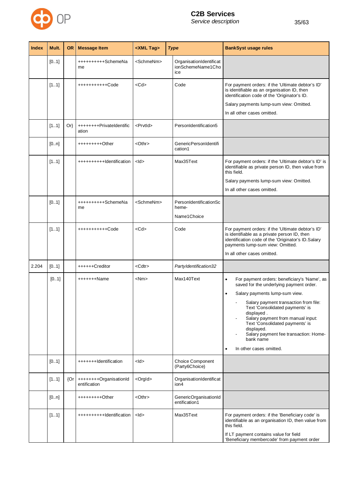

| <b>Index</b> | Mult. | <b>OR</b> | <b>Message Item</b>                    | <xml tag=""></xml>  | <b>Type</b>                                         | <b>BankSyst usage rules</b>                                                                                                                                                                                                                                                                                                                                                                                                       |
|--------------|-------|-----------|----------------------------------------|---------------------|-----------------------------------------------------|-----------------------------------------------------------------------------------------------------------------------------------------------------------------------------------------------------------------------------------------------------------------------------------------------------------------------------------------------------------------------------------------------------------------------------------|
|              | [01]  |           | ++++++++++SchemeNa<br>me               | <schmenm></schmenm> | OrganisationIdentificat<br>ionSchemeName1Cho<br>ice |                                                                                                                                                                                                                                                                                                                                                                                                                                   |
|              | [11]  |           | +++++++++++Code                        | $<$ Cd $>$          | Code                                                | For payment orders: if the 'Ultimate debtor's ID'<br>is identifiable as an organisation ID, then<br>identification code of the 'Originator's ID.<br>Salary payments lump-sum view: Omitted.<br>In all other cases omitted.                                                                                                                                                                                                        |
|              | [11]  | $Or\}$    | ++++++++PrivateIdentific<br>ation      | <prvtid></prvtid>   | PersonIdentification5                               |                                                                                                                                                                                                                                                                                                                                                                                                                                   |
|              | [0n]  |           | +++++++++Other                         | $<$ Othr $>$        | GenericPersonIdentifi<br>cation1                    |                                                                                                                                                                                                                                                                                                                                                                                                                                   |
|              | [11]  |           | +++++++++++Identification              | $<$ ld $>$          | Max35Text                                           | For payment orders: if the 'Ultimate debtor's ID' is<br>identifiable as private person ID, then value from<br>this field.<br>Salary payments lump-sum view: Omitted.<br>In all other cases omitted.                                                                                                                                                                                                                               |
|              | [01]  |           | ++++++++++SchemeNa<br>me               | <schmenm></schmenm> | PersonIdentificationSc<br>heme-<br>Name1 Choice     |                                                                                                                                                                                                                                                                                                                                                                                                                                   |
|              | [11]  |           | +++++++++++Code                        | $<$ Cd $>$          | Code                                                | For payment orders: if the 'Ultimate debtor's ID'<br>is identifiable as a private person ID, then<br>identification code of the 'Originator's ID.Salary<br>payments lump-sum view: Omitted.<br>In all other cases omitted.                                                                                                                                                                                                        |
| 2.204        | [01]  |           | ++++++Creditor                         | <cdtr></cdtr>       | PartyIdentification32                               |                                                                                                                                                                                                                                                                                                                                                                                                                                   |
|              | [01]  |           | $***+++Name$                           | $<$ Nm $>$          | Max140Text                                          | For payment orders: beneficiary's 'Name', as<br>$\bullet$<br>saved for the underlying payment order.<br>Salary payments lump-sum view.<br>$\bullet$<br>Salary payment transaction from file:<br>Text 'Consolidated payments' is<br>displayed.<br>Salary payment from manual input:<br>Text 'Consolidated payments' is<br>displayed.<br>Salary payment fee transaction: Home-<br>bank name<br>In other cases omitted.<br>$\bullet$ |
|              | [01]  |           | +++++++Identification                  | $<$ ld $>$          | Choice Component<br>(Party6Choice)                  |                                                                                                                                                                                                                                                                                                                                                                                                                                   |
|              | [11]  | {Or       | ++++++++OrganisationId<br>entification | <orgld></orgld>     | OrganisationIdentificat<br>ion4                     |                                                                                                                                                                                                                                                                                                                                                                                                                                   |
|              | [0n]  |           | +++++++++Other                         | $<$ Othr $>$        | GenericOrganisationId<br>entification1              |                                                                                                                                                                                                                                                                                                                                                                                                                                   |
|              | [11]  |           | ++++++++++Identification               | $<$ ld $>$          | Max35Text                                           | For payment orders: if the 'Beneficiary code' is<br>identifiable as an organisation ID, then value from<br>this field.                                                                                                                                                                                                                                                                                                            |

If LT payment contains value for field 'Beneficiary membercode' from payment order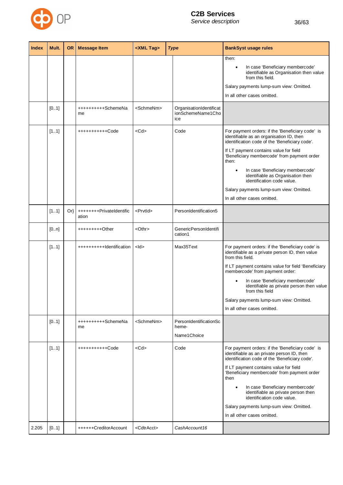

| <b>Index</b> | Mult. | <b>OR</b> | <b>Message Item</b>               | <xml tag=""></xml>    | <b>Type</b>                                         | <b>BankSyst usage rules</b>                                                                                                                                                                                                                                                                                                                                                                                                                    |
|--------------|-------|-----------|-----------------------------------|-----------------------|-----------------------------------------------------|------------------------------------------------------------------------------------------------------------------------------------------------------------------------------------------------------------------------------------------------------------------------------------------------------------------------------------------------------------------------------------------------------------------------------------------------|
|              |       |           |                                   |                       |                                                     | then:<br>In case 'Beneficiary membercode'<br>identifiable as Organisation then value<br>from this field.<br>Salary payments lump-sum view: Omitted.<br>In all other cases omitted.                                                                                                                                                                                                                                                             |
|              | [01]  |           | ++++++++++SchemeNa<br>me          | <schmenm></schmenm>   | OrganisationIdentificat<br>ionSchemeName1Cho<br>ice |                                                                                                                                                                                                                                                                                                                                                                                                                                                |
|              | [11]  |           | +++++++++++Code                   | $<$ Cd $>$            | Code                                                | For payment orders: if the 'Beneficiary code' is<br>identifiable as an organisation ID, then<br>identification code of the 'Beneficiary code'.<br>If LT payment contains value for field<br>'Beneficiary membercode' from payment order<br>then:<br>In case 'Beneficiary membercode'<br>$\bullet$<br>identifiable as Organisation then<br>identification code value.<br>Salary payments lump-sum view: Omitted.<br>In all other cases omitted. |
|              | [11]  | Or        | ++++++++PrivateIdentific<br>ation | <prvtid></prvtid>     | PersonIdentification5                               |                                                                                                                                                                                                                                                                                                                                                                                                                                                |
|              | [0n]  |           | +++++++++Other                    | <othr></othr>         | GenericPersonIdentifi<br>cation1                    |                                                                                                                                                                                                                                                                                                                                                                                                                                                |
|              | [11]  |           | ++++++++++Identification          | $<$ ld $>$            | Max35Text                                           | For payment orders: if the 'Beneficiary code' is<br>identifiable as a private person ID, then value<br>from this field.<br>If LT payment contains value for field 'Beneficiary<br>membercode' from payment order:<br>In case 'Beneficiary membercode'<br>identifiable as private person then value<br>from this field<br>Salary payments lump-sum view: Omitted.<br>In all other cases omitted.                                                |
|              | [01]  |           | ++++++++++SchemeNa<br>me          | <schmenm></schmenm>   | PersonIdentificationSc<br>heme-<br>Name1 Choice     |                                                                                                                                                                                                                                                                                                                                                                                                                                                |
|              | [11]  |           | +++++++++++Code                   | $<$ Cd $>$            | Code                                                | For payment orders: if the 'Beneficiary code' is<br>identifiable as an private person ID, then<br>identification code of the 'Beneficiary code'.<br>If LT payment contains value for field<br>'Beneficiary membercode' from payment order<br>then<br>In case 'Beneficiary membercode'<br>٠<br>identifiable as private person then<br>identification code value.<br>Salary payments lump-sum view: Omitted.<br>In all other cases omitted.      |
| 2.205        | [01]  |           | ++++++CreditorAccount             | <cdtracct></cdtracct> | CashAccount16                                       |                                                                                                                                                                                                                                                                                                                                                                                                                                                |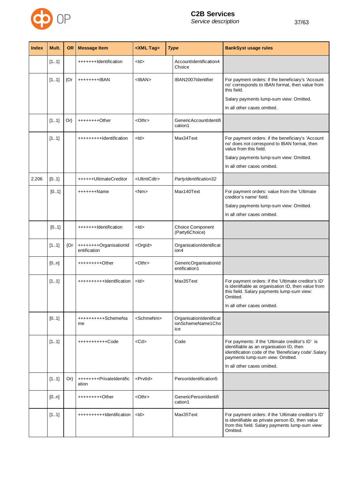

| <b>Index</b> | Mult. | <b>OR</b> | <b>Message Item</b>                    | <xml tag=""></xml>      | <b>Type</b>                                         | <b>BankSyst usage rules</b>                                                                                                                                                              |
|--------------|-------|-----------|----------------------------------------|-------------------------|-----------------------------------------------------|------------------------------------------------------------------------------------------------------------------------------------------------------------------------------------------|
|              | [11]  |           | +++++++Identification                  | $<$ ld $>$              | AccountIdentification4<br>Choice                    |                                                                                                                                                                                          |
|              | [11]  | ${Or}$    | ++++++++IBAN                           | $<$ IBAN $>$            | IBAN2007Identifier                                  | For payment orders: if the beneficiary's 'Account<br>no' corresponds to IBAN format, then value from<br>this field.                                                                      |
|              |       |           |                                        |                         |                                                     | Salary payments lump-sum view: Omitted.                                                                                                                                                  |
|              |       |           |                                        |                         |                                                     | In all other cases omitted.                                                                                                                                                              |
|              | [11]  | $Or\}$    | $+++++O$ ther                          | <othr></othr>           | GenericAccountIdentifi<br>cation1                   |                                                                                                                                                                                          |
|              | [11]  |           | ++++++++++Identification               | $<$ ld $>$              | Max34Text                                           | For payment orders: if the beneficiary's 'Account<br>no' does not correspond to IBAN format, then<br>value from this field.                                                              |
|              |       |           |                                        |                         |                                                     | Salary payments lump-sum view: Omitted.                                                                                                                                                  |
|              |       |           |                                        |                         |                                                     | In all other cases omitted.                                                                                                                                                              |
| 2.206        | [01]  |           | ++++++UltimateCreditor                 | <ultmtcdtr></ultmtcdtr> | PartyIdentification32                               |                                                                                                                                                                                          |
|              | [01]  |           | +++++++Name                            | $<$ Nm $>$              | Max140Text                                          | For payment orders: value from the 'Ultimate<br>creditor's name' field.                                                                                                                  |
|              |       |           |                                        |                         |                                                     | Salary payments lump-sum view: Omitted.                                                                                                                                                  |
|              |       |           |                                        |                         |                                                     | In all other cases omitted.                                                                                                                                                              |
|              | [01]  |           | +++++++Identification                  | $<$ ld $>$              | Choice Component<br>(Party6Choice)                  |                                                                                                                                                                                          |
|              | [11]  | ${Or}$    | ++++++++OrganisationId<br>entification | <orgld></orgld>         | OrganisationIdentificat<br>ion4                     |                                                                                                                                                                                          |
|              | [0n]  |           | +++++++++Other                         | <othr></othr>           | GenericOrganisationId<br>entification1              |                                                                                                                                                                                          |
|              | [11]  |           | +++++++++++dentification               | $<$ ld $>$              | Max35Text                                           | For payment orders: if the 'Ultimate creditor's ID'<br>is identifiable as organisation ID, then value from<br>this field. Salary payments lump-sum view:<br>Omitted.                     |
|              |       |           |                                        |                         |                                                     | In all other cases omitted.                                                                                                                                                              |
|              | [01]  |           | ++++++++++SchemeNa<br>me               | <schmenm></schmenm>     | OrganisationIdentificat<br>ionSchemeName1Cho<br>ісе |                                                                                                                                                                                          |
|              | [11]  |           | +++++++++++Code                        | $<$ Cd $>$              | Code                                                | For payments: if the 'Ultimate creditor's ID' is<br>identifiable as an organisation ID, then<br>identification code of the 'Beneficiary code'.Salary<br>payments lump-sum view: Omitted. |
|              |       |           |                                        |                         |                                                     | In all other cases omitted.                                                                                                                                                              |
|              | [11]  | $Or\}$    | ++++++++PrivateIdentific<br>ation      | <prvtid></prvtid>       | PersonIdentification5                               |                                                                                                                                                                                          |
|              | [0n]  |           | $******+++O$ ther                      | $<$ Othr $>$            | GenericPersonIdentifi<br>cation1                    |                                                                                                                                                                                          |
|              | [11]  |           | ++++++++++Identification               | $<$ ld $>$              | Max35Text                                           | For payment orders: if the 'Ultimate creditor's ID'<br>is identifiable as private person ID, then value<br>from this field. Salary payments lump-sum view:<br>Omitted.                   |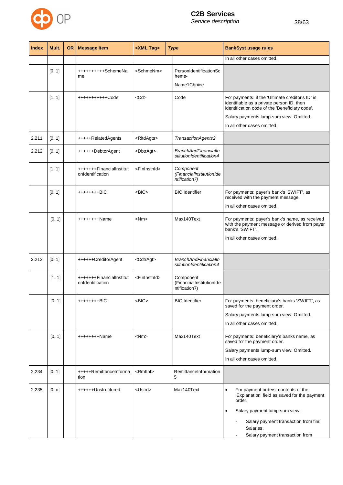

| <b>Index</b> | Mult. | <b>OR</b> | <b>Message Item</b>                           | <xml tag=""></xml>        | <b>Type</b>                                             | <b>BankSyst usage rules</b>                                                                                                                                                                                                                       |
|--------------|-------|-----------|-----------------------------------------------|---------------------------|---------------------------------------------------------|---------------------------------------------------------------------------------------------------------------------------------------------------------------------------------------------------------------------------------------------------|
|              |       |           |                                               |                           |                                                         | In all other cases omitted.                                                                                                                                                                                                                       |
|              | [01]  |           | ++++++++++SchemeNa<br>me                      | <schmenm></schmenm>       | PersonIdentificationSc<br>heme-<br>Name1 Choice         |                                                                                                                                                                                                                                                   |
|              | [11]  |           | +++++++++++Code                               | <cd></cd>                 | Code                                                    | For payments: if the 'Ultimate creditor's ID' is<br>identifiable as a private person ID, then<br>identification code of the 'Beneficiary code'.<br>Salary payments lump-sum view: Omitted.<br>In all other cases omitted.                         |
| 2.211        | [01]  |           | +++++RelatedAgents                            | <rltdagts></rltdagts>     | TransactionAgents2                                      |                                                                                                                                                                                                                                                   |
| 2.212        | [01]  |           | ++++++DebtorAgent                             | <dbtragt></dbtragt>       | <b>BranchAndFinancialIn</b><br>stitutionIdentification4 |                                                                                                                                                                                                                                                   |
|              | [11]  |           | +++++++FinancialInstituti<br>onIdentification | <fininstnid></fininstnid> | Component<br>(FinancialInstitutionIde<br>ntification7)  |                                                                                                                                                                                                                                                   |
|              | [01]  |           | ++++++++BIC                                   | <bic></bic>               | <b>BIC</b> Identifier                                   | For payments: payer's bank's 'SWIFT', as<br>received with the payment message.<br>In all other cases omitted.                                                                                                                                     |
|              | [01]  |           | ++++++++Name                                  | <nm></nm>                 | Max140Text                                              | For payments: payer's bank's name, as received<br>with the payment message or derived from payer<br>bank's 'SWIFT'.<br>In all other cases omitted.                                                                                                |
| 2.213        | [0.1] |           | ++++++CreditorAgent                           | <cdtragt></cdtragt>       | <b>BranchAndFinancialIn</b><br>stitutionIdentification4 |                                                                                                                                                                                                                                                   |
|              | [11]  |           | +++++++FinancialInstituti<br>onIdentification | <fininstnid></fininstnid> | Component<br>(FinancialInstitutionIde<br>ntification7)  |                                                                                                                                                                                                                                                   |
|              | [01]  |           | ++++++++BIC                                   | >BIC                      | <b>BIC</b> Identifier                                   | For payments: beneficiary's banks 'SWIFT', as<br>saved for the payment order.<br>Salary payments lump-sum view: Omitted.<br>In all other cases omitted.                                                                                           |
|              | [01]  |           | ++++++++Name                                  | <nm></nm>                 | Max140Text                                              | For payments: beneficiary's banks name, as<br>saved for the payment order.<br>Salary payments lump-sum view: Omitted.<br>In all other cases omitted.                                                                                              |
| 2.234        | [01]  |           | +++++RemittanceInforma<br>tion                | <rmtlnf></rmtlnf>         | RemittanceInformation<br>5                              |                                                                                                                                                                                                                                                   |
| 2.235        | [0n]  |           | ++++++Unstructured                            | <ustrd></ustrd>           | Max140Text                                              | For payment orders: contents of the<br>$\bullet$<br>'Explanation' field as saved for the payment<br>order.<br>Salary payment lump-sum view:<br>$\bullet$<br>Salary payment transaction from file:<br>Salaries.<br>Salary payment transaction from |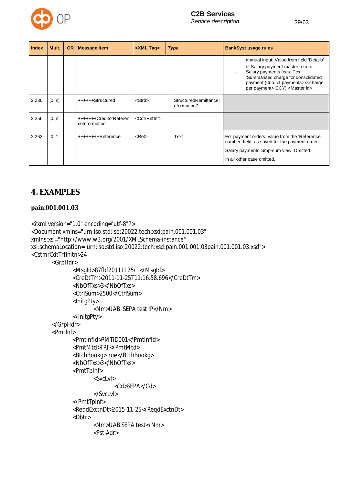

| Index | Mult. | <b>OR</b> | <b>Message Item</b>                     | <xml tag=""></xml>        | <b>Type</b>                          | <b>BankSyst usage rules</b>                                                                                                                                                                                                                                       |
|-------|-------|-----------|-----------------------------------------|---------------------------|--------------------------------------|-------------------------------------------------------------------------------------------------------------------------------------------------------------------------------------------------------------------------------------------------------------------|
|       |       |           |                                         |                           |                                      | manual input: Value from field 'Details'<br>of Salary payment master record.<br>Salary payments fees: Text<br>'Summarised charge for consolidated<br>payment ( <no. of="" payments="">x<charge<br>per payment&gt; CCY) <master id="">.</master></charge<br></no.> |
| 2.236 | [0n]  |           | ++++++Structured                        | <strd></strd>             | StructuredRemittancel<br>nformation7 |                                                                                                                                                                                                                                                                   |
| 2.256 | [0n]  |           | +++++++CreditorReferen<br>celnformation | <cdtrrefinf></cdtrrefinf> |                                      |                                                                                                                                                                                                                                                                   |
| 2.262 | [0.1] |           | ++++++++Reference                       | $kef$                     | Text                                 | For payment orders: value from the 'Reference<br>number' field, as saved for the payment order.<br>Salary payments lump-sum view: Omitted<br>In all other case omitted.                                                                                           |

# **4. EXAMPLES**

#### **pain.001.001.03**

```
<?xml version="1.0" encoding="utf-8"?>
<Document xmlns="urn:iso:std:iso:20022:tech:xsd:pain.001.001.03"
xmlns:xsi="http://www.w3.org/2001/XMLSchema-instance"
xsi:schemaLocation="urn:iso:std:iso:20022:tech:xsd:pain.001.001.03pain.001.001.03.xsd">
<CstmrCdtTrfInitn>24
       <GrpHdr>
              <MsgId>87fbf20111125/1</MsgId>
              <CreDtTm>2011-11-25T11:16:58.696</CreDtTm>
              <NbOfTxs>3</NbOfTxs>
              <CtrlSum>2500</CtrlSum>
              <InitgPty>
                     <Nm>UAB SEPA test IP</Nm>
              </InitgPty>
       </GrpHdr>
       <PmtInf>
              <PmtInfId>PMTID001</PmtInfId>
              <PmtMtd>TRF</PmtMtd>
              <BtchBookg>true</BtchBookg>
              <NbOfTxs>3</NbOfTxs>
              <PmtTpInf>
                     <SvcLvl>
                            <Cd>SEPA</Cd>
                     </SvcLvl>
              </PmtTpInf>
              <ReqdExctnDt>2015-11-25</ReqdExctnDt>
              <Dbtr>
                     <Nm>UAB SEPA test</Nm>
                     <PstlAdr>
```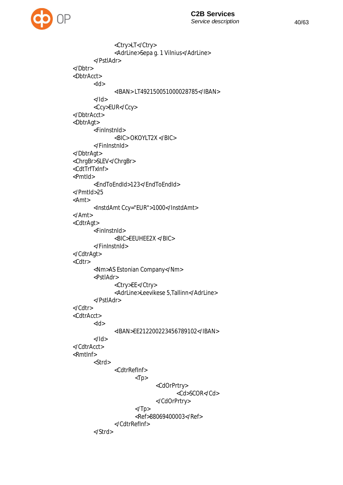

```
<Ctry>LT</Ctry>
              <AdrLine>Sepa g. 1 Vilnius</AdrLine>
       </PstlAdr>
</Dbtr>
<DbtrAcct>
       <Id>
              <IBAN> LT492150051000028785</IBAN>
       </Id><Ccy>EUR</Ccy>
</DbtrAcct>
<DbtrAgt>
       <FinInstnId>
              <BIC> OKOYLT2X </BIC>
       </FinInstnId>
</DbtrAgt>
<ChrgBr>SLEV</ChrgBr>
<CdtTrfTxInf>
<PmtId>
       <EndToEndId>123</EndToEndId>
</PmtId>25
<Amt>
       <InstdAmt Ccy="EUR">1000</InstdAmt>
</Amt>
<CdtrAgt>
       <FinInstnId>
              <BIC>EEUHEE2X </BIC>
       </FinInstnId>
</CdtrAgt>
<Cdtr>
       <Nm>AS Estonian Company</Nm>
       <PstlAdr>
              <Ctry>EE</Ctry>
              <AdrLine>Leevikese 5,Tallinn</AdrLine>
       </PstlAdr>
</Cdtr>
<CdtrAcct>
       <Id>
              <IBAN>EE212200223456789102</IBAN>
       </Id>
</CdtrAcct>
<RmtInf>
       <Strd>
              <CdtrRefInf>
                     <Tp><CdOrPrtry>
                                    <Cd>SCOR</Cd>
                             </CdOrPrtry>
                     </Tp><Ref>88069400003</Ref>
              </CdtrRefInf>
       </Strd>
```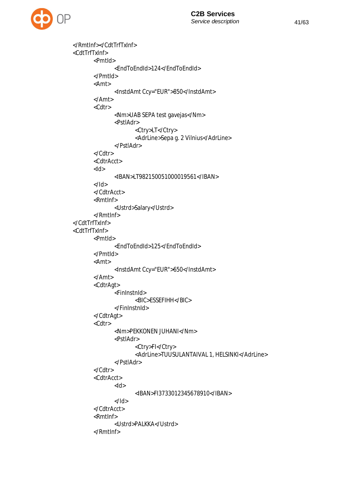

```
</RmtInf></CdtTrfTxInf>
<CdtTrfTxInf>
       <PmtId>
              <EndToEndId>124</EndToEndId>
       </PmtId>
       <Amt>
              <InstdAmt Ccy="EUR">850</InstdAmt>
       </Amt>
       <Cdtr>
              <Nm>UAB SEPA test gavejas</Nm>
              <PstlAdr>
                     <Ctry>LT</Ctry>
                     <AdrLine>Sepa g. 2 Vilnius</AdrLine>
              </PstlAdr>
       </Cdtr>
       <CdtrAcct>
       <Id>
              <IBAN>LT982150051000019561</IBAN>
       </Id></CdtrAcct>
       <RmtInf>
              <Ustrd>Salary</Ustrd>
       </RmtInf>
</CdtTrfTxInf>
<CdtTrfTxInf>
       <PmtId>
              <EndToEndId>125</EndToEndId>
       </PmtId>
       <Amt>
              <InstdAmt Ccy="EUR">650</InstdAmt>
       </Amt>
       <CdtrAgt>
              <FinInstnId>
                     <BIC>ESSEFIHH</BIC>
              </FinInstnId>
       </CdtrAgt>
       <Cdtr>
              <Nm>PEKKONEN JUHANI</Nm>
              <PstlAdr>
                     <Ctry>FI</Ctry>
                     <AdrLine>TUUSULANTAIVAL 1, HELSINKI</AdrLine>
              </PstlAdr>
       </Cdtr>
       <CdtrAcct>
              <Id><IBAN>FI3733012345678910</IBAN>
              </Id></CdtrAcct>
       <RmtInf>
              <Ustrd>PALKKA</Ustrd>
       </RmtInf>
```